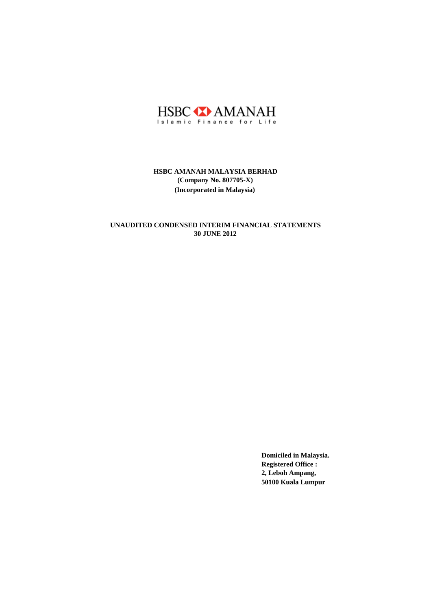

# **30 JUNE 2012 UNAUDITED CONDENSED INTERIM FINANCIAL STATEMENTS**

**Domiciled in Malaysia. Registered Office : 2, Leboh Ampang, 50100 Kuala Lumpur**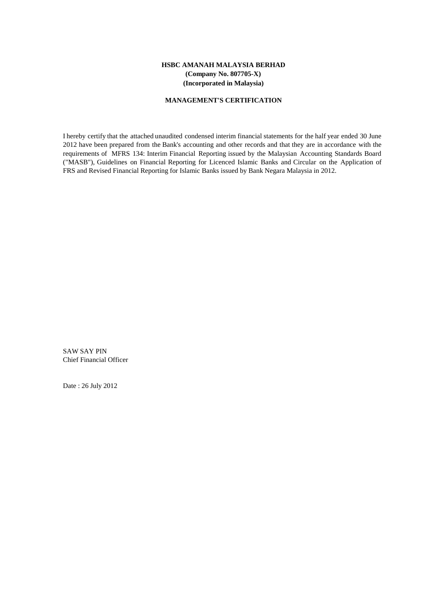#### **MANAGEMENT'S CERTIFICATION**

I hereby certify that the attached unaudited condensed interim financial statements for the half year ended 30 June 2012 have been prepared from the Bank's accounting and other records and that they are in accordance with the requirements of MFRS 134: Interim Financial Reporting issued by the Malaysian Accounting Standards Board ("MASB"), Guidelines on Financial Reporting for Licenced Islamic Banks and Circular on the Application of FRS and Revised Financial Reporting for Islamic Banks issued by Bank Negara Malaysia in 2012.

SAW SAY PIN Chief Financial Officer

Date : 26 July 2012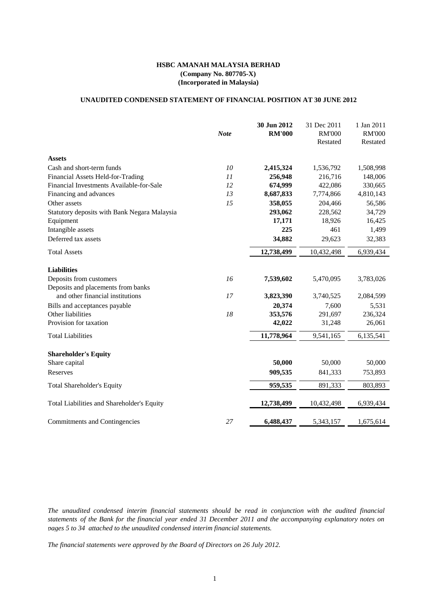# **UNAUDITED CONDENSED STATEMENT OF FINANCIAL POSITION AT 30 JUNE 2012**

|                                              | <b>Note</b> | 30 Jun 2012<br><b>RM'000</b> | 31 Dec 2011<br><b>RM'000</b> | 1 Jan 2011<br><b>RM'000</b> |
|----------------------------------------------|-------------|------------------------------|------------------------------|-----------------------------|
|                                              |             |                              | Restated                     | Restated                    |
| <b>Assets</b>                                |             |                              |                              |                             |
| Cash and short-term funds                    | 10          | 2,415,324                    | 1,536,792                    | 1,508,998                   |
| Financial Assets Held-for-Trading            | 11          | 256,948                      | 216,716                      | 148,006                     |
| Financial Investments Available-for-Sale     | 12          | 674,999                      | 422,086                      | 330,665                     |
| Financing and advances                       | 13          | 8,687,833                    | 7,774,866                    | 4,810,143                   |
| Other assets                                 | 15          | 358,055                      | 204,466                      | 56,586                      |
| Statutory deposits with Bank Negara Malaysia |             | 293,062                      | 228,562                      | 34,729                      |
| Equipment                                    |             | 17,171                       | 18,926                       | 16,425                      |
| Intangible assets                            |             | 225                          | 461                          | 1,499                       |
| Deferred tax assets                          |             | 34,882                       | 29,623                       | 32,383                      |
| <b>Total Assets</b>                          |             | 12,738,499                   | 10,432,498                   | 6,939,434                   |
| <b>Liabilities</b>                           |             |                              |                              |                             |
| Deposits from customers                      | 16          | 7,539,602                    | 5,470,095                    | 3,783,026                   |
| Deposits and placements from banks           |             |                              |                              |                             |
| and other financial institutions             | 17          | 3,823,390                    | 3,740,525                    | 2,084,599                   |
| Bills and acceptances payable                |             | 20,374                       | 7,600                        | 5,531                       |
| Other liabilities                            | 18          | 353,576                      | 291,697                      | 236,324                     |
| Provision for taxation                       |             | 42,022                       | 31,248                       | 26,061                      |
| <b>Total Liabilities</b>                     |             | 11,778,964                   | 9,541,165                    | 6,135,541                   |
| <b>Shareholder's Equity</b>                  |             |                              |                              |                             |
| Share capital                                |             | 50,000                       | 50,000                       | 50,000                      |
| Reserves                                     |             | 909,535                      | 841,333                      | 753,893                     |
| <b>Total Shareholder's Equity</b>            |             | 959,535                      | 891,333                      | 803,893                     |
| Total Liabilities and Shareholder's Equity   |             | 12,738,499                   | 10,432,498                   | 6,939,434                   |
| Commitments and Contingencies                | 27          | 6,488,437                    | 5,343,157                    | 1,675,614                   |

*The unaudited condensed interim financial statements should be read in conjunction with the audited financial* statements of the Bank for the financial year ended 31 December 2011 and the accompanying explanatory notes on *pages 5 to 34 attached to the unaudited condensed interim financial statements.*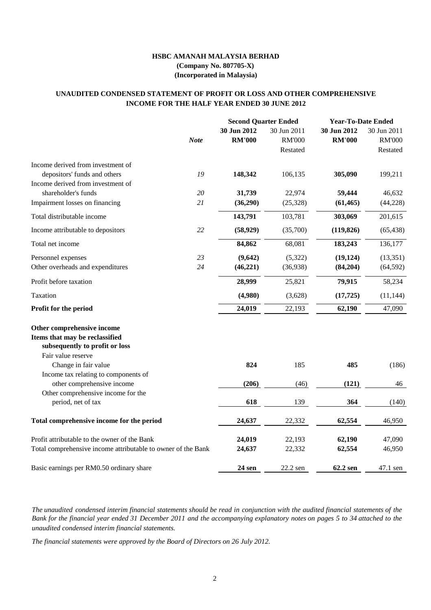# **INCOME FOR THE HALF YEAR ENDED 30 JUNE 2012 UNAUDITED CONDENSED STATEMENT OF PROFIT OR LOSS AND OTHER COMPREHENSIVE**

|                                                                                                                      |    |                              | <b>Second Quarter Ended</b>              |                              | <b>Year-To-Date Ended</b>                |
|----------------------------------------------------------------------------------------------------------------------|----|------------------------------|------------------------------------------|------------------------------|------------------------------------------|
| <b>Note</b>                                                                                                          |    | 30 Jun 2012<br><b>RM'000</b> | 30 Jun 2011<br><b>RM'000</b><br>Restated | 30 Jun 2012<br><b>RM'000</b> | 30 Jun 2011<br><b>RM'000</b><br>Restated |
| Income derived from investment of                                                                                    |    |                              |                                          |                              |                                          |
| depositors' funds and others                                                                                         | 19 | 148,342                      | 106,135                                  | 305,090                      | 199,211                                  |
| Income derived from investment of                                                                                    |    |                              |                                          |                              |                                          |
| shareholder's funds                                                                                                  | 20 | 31,739                       | 22,974                                   | 59,444                       | 46,632                                   |
| Impairment losses on financing                                                                                       | 21 | (36,290)                     | (25, 328)                                | (61, 465)                    | (44, 228)                                |
| Total distributable income                                                                                           |    | 143,791                      | 103,781                                  | 303,069                      | 201,615                                  |
| Income attributable to depositors                                                                                    | 22 | (58, 929)                    | (35,700)                                 | (119, 826)                   | (65, 438)                                |
| Total net income                                                                                                     |    | 84,862                       | 68,081                                   | 183,243                      | 136,177                                  |
| Personnel expenses                                                                                                   | 23 | (9,642)                      | (5,322)                                  | (19, 124)                    | (13, 351)                                |
| Other overheads and expenditures                                                                                     | 24 | (46, 221)                    | (36,938)                                 | (84,204)                     | (64, 592)                                |
| Profit before taxation                                                                                               |    | 28,999                       | 25,821                                   | 79,915                       | 58,234                                   |
| Taxation                                                                                                             |    | (4,980)                      | (3,628)                                  | (17, 725)                    | (11, 144)                                |
| Profit for the period                                                                                                |    | 24,019                       | 22,193                                   | 62,190                       | 47,090                                   |
| Other comprehensive income<br>Items that may be reclassified<br>subsequently to profit or loss<br>Fair value reserve |    |                              |                                          |                              |                                          |
| Change in fair value                                                                                                 |    | 824                          | 185                                      | 485                          | (186)                                    |
| Income tax relating to components of                                                                                 |    |                              |                                          |                              |                                          |
| other comprehensive income                                                                                           |    | (206)                        | (46)                                     | (121)                        | 46                                       |
| Other comprehensive income for the<br>period, net of tax                                                             |    | 618                          | 139                                      | 364                          | (140)                                    |
| Total comprehensive income for the period                                                                            |    | 24,637                       | 22,332                                   | 62,554                       | 46,950                                   |
|                                                                                                                      |    |                              |                                          |                              |                                          |
| Profit attributable to the owner of the Bank                                                                         |    | 24,019                       | 22,193                                   | 62,190                       | 47,090                                   |
| Total comprehensive income attributable to owner of the Bank                                                         |    | 24,637                       | 22,332                                   | 62,554                       | 46,950                                   |
| Basic earnings per RM0.50 ordinary share                                                                             |    | 24 sen                       | 22.2 sen                                 | 62.2 sen                     | 47.1 sen                                 |

The unaudited condensed interim financial statements should be read in conjunction with the audited financial statements of the Bank for the financial year ended 31 December 2011 and the accompanying explanatory notes on pages 5 to 34 attached to the *unaudited condensed interim financial statements.*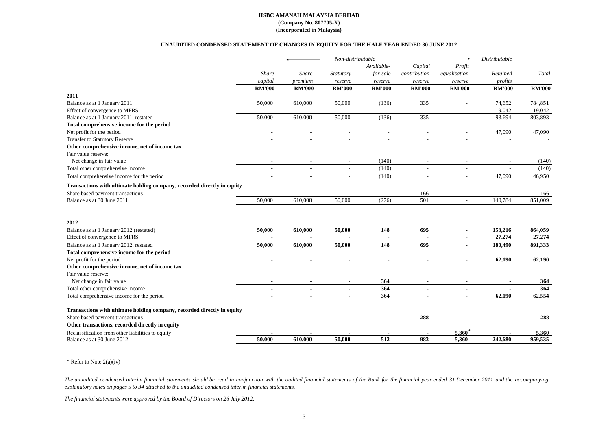#### **UNAUDITED CONDENSED STATEMENT OF CHANGES IN EQUITY FOR THE HALF YEAR ENDED 30 JUNE 2012**

|                                                                         |                          |                          | Non-distributable        |               |                |                          | Distributable |               |
|-------------------------------------------------------------------------|--------------------------|--------------------------|--------------------------|---------------|----------------|--------------------------|---------------|---------------|
|                                                                         |                          |                          |                          | Available-    | Capital        | Profit                   |               |               |
|                                                                         | <b>Share</b>             | Share                    | Statutory                | for-sale      | contribution   | equalisation             | Retained      | Total         |
|                                                                         | capital                  | premium                  | reserve                  | reserve       | reserve        | reserve                  | profits       |               |
|                                                                         | <b>RM'000</b>            | <b>RM'000</b>            | <b>RM'000</b>            | <b>RM'000</b> | <b>RM'000</b>  | <b>RM'000</b>            | <b>RM'000</b> | <b>RM'000</b> |
| 2011                                                                    |                          |                          |                          |               |                |                          |               |               |
| Balance as at 1 January 2011                                            | 50,000                   | 610,000                  | 50,000                   | (136)         | 335            |                          | 74,652        | 784,851       |
| Effect of convergence to MFRS                                           |                          |                          |                          |               |                |                          | 19,042        | 19,042        |
| Balance as at 1 January 2011, restated                                  | 50,000                   | 610,000                  | 50,000                   | (136)         | 335            |                          | 93,694        | 803,893       |
| Total comprehensive income for the period                               |                          |                          |                          |               |                |                          |               |               |
| Net profit for the period                                               |                          |                          |                          |               |                |                          | 47,090        | 47,090        |
| <b>Transfer to Statutory Reserve</b>                                    |                          |                          |                          |               |                |                          |               |               |
| Other comprehensive income, net of income tax                           |                          |                          |                          |               |                |                          |               |               |
| Fair value reserve:                                                     |                          |                          |                          |               |                |                          |               |               |
| Net change in fair value                                                |                          |                          |                          | (140)         |                | $\overline{\phantom{a}}$ |               | (140)         |
| Total other comprehensive income                                        | $\overline{\phantom{a}}$ | $\overline{\phantom{a}}$ | $\overline{\phantom{a}}$ | (140)         | $\sim$         | $\overline{\phantom{a}}$ |               | (140)         |
| Total comprehensive income for the period                               |                          |                          |                          | (140)         | $\overline{a}$ | $\overline{a}$           | 47,090        | 46,950        |
| Transactions with ultimate holding company, recorded directly in equity |                          |                          |                          |               |                |                          |               |               |
| Share based payment transactions                                        |                          |                          |                          |               | 166            |                          |               | 166           |
| Balance as at 30 June 2011                                              | 50,000                   | 610,000                  | 50,000                   | (276)         | 501            | $\mathbb{Z}^2$           | 140,784       | 851,009       |
|                                                                         |                          |                          |                          |               |                |                          |               |               |
| 2012                                                                    |                          |                          |                          |               |                |                          |               |               |
| Balance as at 1 January 2012 (restated)                                 | 50,000                   | 610,000                  | 50,000                   | 148           | 695            |                          | 153,216       | 864,059       |
| Effect of convergence to MFRS                                           |                          |                          |                          |               |                |                          | 27,274        | 27,274        |
| Balance as at 1 January 2012, restated                                  | 50,000                   | 610,000                  | 50,000                   | 148           | 695            |                          | 180,490       | 891,333       |
| Total comprehensive income for the period                               |                          |                          |                          |               |                |                          |               |               |
| Net profit for the period                                               |                          |                          |                          |               |                |                          | 62,190        | 62,190        |
| Other comprehensive income, net of income tax<br>Fair value reserve:    |                          |                          |                          |               |                |                          |               |               |
|                                                                         |                          |                          |                          | 364           |                |                          |               |               |
| Net change in fair value                                                |                          |                          | $\blacksquare$           | 364           | $\sim$         | $\blacksquare$           |               | 364<br>364    |
| Total other comprehensive income                                        | $\blacksquare$           | $\blacksquare$           |                          | 364           |                | $\overline{a}$           | 62,190        | 62,554        |
| Total comprehensive income for the period                               |                          |                          |                          |               |                |                          |               |               |
| Transactions with ultimate holding company, recorded directly in equity |                          |                          |                          |               |                |                          |               |               |
| Share based payment transactions                                        |                          |                          |                          |               | 288            |                          |               | 288           |
| Other transactions, recorded directly in equity                         |                          |                          |                          |               |                |                          |               |               |
| Reclassification from other liabilities to equity                       |                          |                          |                          |               |                | $5,360*$                 |               | 5,360         |
| Balance as at 30 June 2012                                              | 50.000                   | 610.000                  | 50,000                   | 512           | 983            | 5,360                    | 242,680       | 959,535       |

#### \* Refer to Note 2(a)(iv)

The unaudited condensed interim financial statements should be read in conjunction with the audited financial statements of the Bank for the financial year ended 31 December 2011 and the accompanying *explanatory notes on pages 5 to 34 attached to the unaudited condensed interim financial statements.*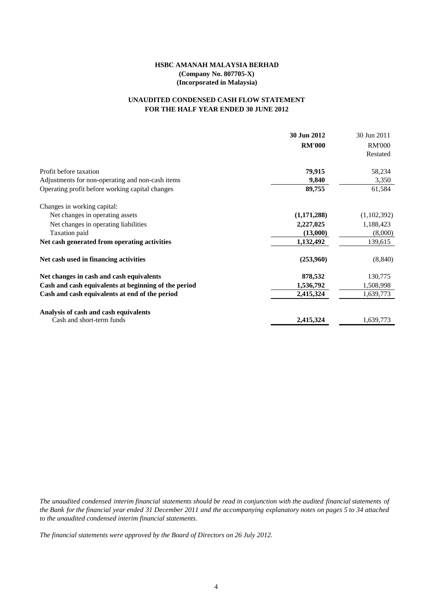# **FOR THE HALF YEAR ENDED 30 JUNE 2012 UNAUDITED CONDENSED CASH FLOW STATEMENT**

|                                                      | 30 Jun 2012   | 30 Jun 2011   |
|------------------------------------------------------|---------------|---------------|
|                                                      | <b>RM'000</b> | <b>RM'000</b> |
|                                                      |               | Restated      |
| Profit before taxation                               | 79,915        | 58,234        |
| Adjustments for non-operating and non-cash items     | 9,840         | 3,350         |
| Operating profit before working capital changes      | 89,755        | 61,584        |
| Changes in working capital:                          |               |               |
| Net changes in operating assets                      | (1,171,288)   | (1,102,392)   |
| Net changes in operating liabilities                 | 2,227,025     | 1,188,423     |
| Taxation paid                                        | (13,000)      | (8,000)       |
| Net cash generated from operating activities         | 1,132,492     | 139,615       |
| Net cash used in financing activities                | (253,960)     | (8, 840)      |
| Net changes in cash and cash equivalents             | 878,532       | 130,775       |
| Cash and cash equivalents at beginning of the period | 1,536,792     | 1,508,998     |
| Cash and cash equivalents at end of the period       | 2,415,324     | 1,639,773     |
| Analysis of cash and cash equivalents                |               |               |
| Cash and short-term funds                            | 2,415,324     | 1,639,773     |

The unaudited condensed interim financial statements should be read in conjunction with the audited financial statements of the Bank for the financial year ended 31 December 2011 and the accompanying explanatory notes on pages 5 to 34 attached *to the unaudited condensed interim financial statements.*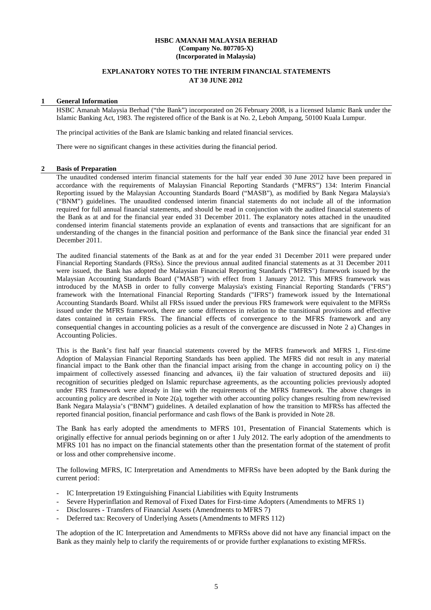#### **EXPLANATORY NOTES TO THE INTERIM FINANCIAL STATEMENTS AT 30 JUNE 2012**

# **1 General Information**

HSBC Amanah Malaysia Berhad ("the Bank") incorporated on 26 February 2008, is a licensed Islamic Bank under the Islamic Banking Act, 1983. The registered office of the Bank is at No. 2, Leboh Ampang, 50100 Kuala Lumpur.

The principal activities of the Bank are Islamic banking and related financial services.

There were no significant changes in these activities during the financial period.

#### **2 Basis of Preparation**

The unaudited condensed interim financial statements for the half year ended 30 June 2012 have been prepared in accordance with the requirements of Malaysian Financial Reporting Standards ("MFRS") 134: Interim Financial Reporting issued by the Malaysian Accounting Standards Board ("MASB"), as modified by Bank Negara Malaysia's ("BNM") guidelines. The unaudited condensed interim financial statements do not include all of the information required for full annual financial statements, and should be read in conjunction with the audited financial statements of the Bank as at and for the financial year ended 31 December 2011. The explanatory notes attached in the unaudited condensed interim financial statements provide an explanation of events and transactions that are significant for an understanding of the changes in the financial position and performance of the Bank since the financial year ended 31 December 2011.

The audited financial statements of the Bank as at and for the year ended 31 December 2011 were prepared under Financial Reporting Standards (FRSs). Since the previous annual audited financial statements as at 31 December 2011 were issued, the Bank has adopted the Malaysian Financial Reporting Standards ("MFRS") framework issued by the Malaysian Accounting Standards Board ("MASB") with effect from 1 January 2012. This MFRS framework was introduced by the MASB in order to fully converge Malaysia's existing Financial Reporting Standards ("FRS") framework with the International Financial Reporting Standards ("IFRS") framework issued by the International Accounting Standards Board. Whilst all FRSs issued under the previous FRS framework were equivalent to the MFRSs issued under the MFRS framework, there are some differences in relation to the transitional provisions and effective dates contained in certain FRSs. The financial effects of convergence to the MFRS framework and any consequential changes in accounting policies as a result of the convergence are discussed in Note 2 a) Changes in Accounting Policies.

This is the Bank's first half year financial statements covered by the MFRS framework and MFRS 1, First-time Adoption of Malaysian Financial Reporting Standards has been applied. The MFRS did not result in any material financial impact to the Bank other than the financial impact arising from the change in accounting policy on i) the impairment of collectively assessed financing and advances, ii) the fair valuation of structured deposits and iii) recognition of securities pledged on Islamic repurchase agreements, as the accounting policies previously adopted under FRS framework were already in line with the requirements of the MFRS framework. The above changes in accounting policy are described in Note 2(a), together with other accounting policy changes resulting from new/revised Bank Negara Malaysia's ("BNM") guidelines. A detailed explanation of how the transition to MFRSs has affected the reported financial position, financial performance and cash flows of the Bank is provided in Note 28.

The Bank has early adopted the amendments to MFRS 101, Presentation of Financial Statements which is originally effective for annual periods beginning on or after 1 July 2012. The early adoption of the amendments to MFRS 101 has no impact on the financial statements other than the presentation format of the statement of profit or loss and other comprehensive income.

The following MFRS, IC Interpretation and Amendments to MFRSs have been adopted by the Bank during the current period:

- IC Interpretation 19 Extinguishing Financial Liabilities with Equity Instruments
- Severe Hyperinflation and Removal of Fixed Dates for First-time Adopters (Amendments to MFRS 1)
- Disclosures Transfers of Financial Assets (Amendments to MFRS 7)
- Deferred tax: Recovery of Underlying Assets (Amendments to MFRS 112)

The adoption of the IC Interpretation and Amendments to MFRSs above did not have any financial impact on the Bank as they mainly help to clarify the requirements of or provide further explanations to existing MFRSs.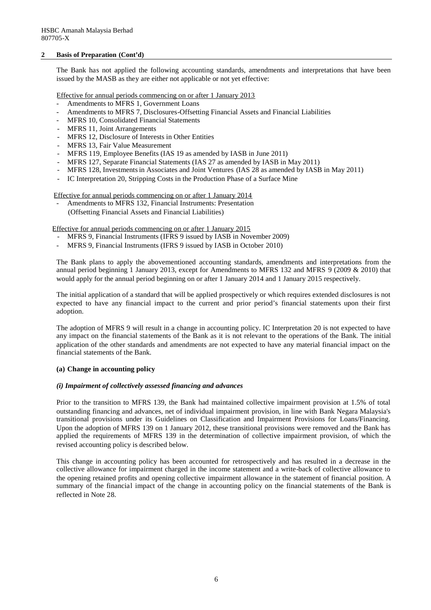#### **2 Basis of Preparation (Cont'd)**

The Bank has not applied the following accounting standards, amendments and interpretations that have been issued by the MASB as they are either not applicable or not yet effective:

Effective for annual periods commencing on or after 1 January 2013

- Amendments to MFRS 1, Government Loans
- Amendments to MFRS 7, Disclosures-Offsetting Financial Assets and Financial Liabilities
- MFRS 10, Consolidated Financial Statements
- MFRS 11, Joint Arrangements
- MFRS 12, Disclosure of Interests in Other Entities
- MFRS 13, Fair Value Measurement
- MFRS 119, Employee Benefits (IAS 19 as amended by IASB in June 2011)
- MFRS 127, Separate Financial Statements (IAS 27 as amended by IASB in May 2011)
- MFRS 128, Investments in Associates and Joint Ventures (IAS 28 as amended by IASB in May 2011)
- IC Interpretation 20, Stripping Costs in the Production Phase of a Surface Mine

Effective for annual periods commencing on or after 1 January 2014

Amendments to MFRS 132, Financial Instruments: Presentation (Offsetting Financial Assets and Financial Liabilities)

Effective for annual periods commencing on or after 1 January 2015

- MFRS 9, Financial Instruments (IFRS 9 issued by IASB in November 2009)
- MFRS 9, Financial Instruments (IFRS 9 issued by IASB in October 2010)

The Bank plans to apply the abovementioned accounting standards, amendments and interpretations from the annual period beginning 1 January 2013, except for Amendments to MFRS 132 and MFRS 9 (2009 & 2010) that would apply for the annual period beginning on or after 1 January 2014 and 1 January 2015 respectively.

The initial application of a standard that will be applied prospectively or which requires extended disclosures is not expected to have any financial impact to the current and prior period's financial statements upon their first adoption.

The adoption of MFRS 9 will result in a change in accounting policy. IC Interpretation 20 is not expected to have any impact on the financial statements of the Bank as it is not relevant to the operations of the Bank. The initial application of the other standards and amendments are not expected to have any material financial impact on the financial statements of the Bank.

#### **(a) Change in accounting policy**

#### *(i) Impairment of collectively assessed financing and advances*

Prior to the transition to MFRS 139, the Bank had maintained collective impairment provision at 1.5% of total outstanding financing and advances, net of individual impairment provision, in line with Bank Negara Malaysia's transitional provisions under its Guidelines on Classification and Impairment Provisions for Loans/Financing. Upon the adoption of MFRS 139 on 1 January 2012, these transitional provisions were removed and the Bank has applied the requirements of MFRS 139 in the determination of collective impairment provision, of which the revised accounting policy is described below.

This change in accounting policy has been accounted for retrospectively and has resulted in a decrease in the collective allowance for impairment charged in the income statement and a write-back of collective allowance to the opening retained profits and opening collective impairment allowance in the statement of financial position. A summary of the financial impact of the change in accounting policy on the financial statements of the Bank is reflected in Note 28.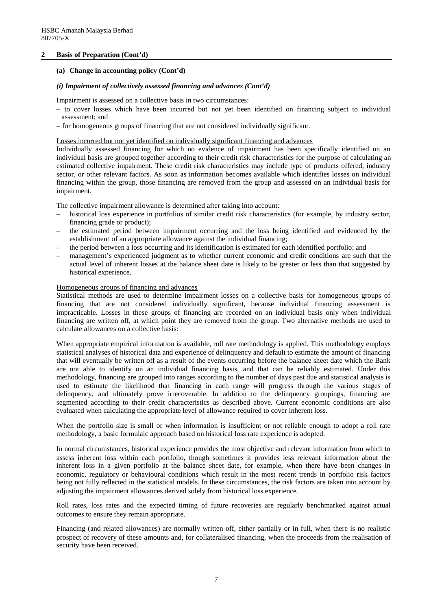#### **2 Basis of Preparation (Cont'd)**

#### **(a) Change in accounting policy (Cont'd)**

#### *(i) Impairment of collectively assessed financing and advances (Cont'd)*

Impairment is assessed on a collective basis in two circumstances:

- to cover losses which have been incurred but not yet been identified on financing subject to individual assessment; and
- for homogeneous groups of financing that are not considered individually significant.

Losses incurred but not yet identified on individually significant financing and advances

Individually assessed financing for which no evidence of impairment has been specifically identified on an individual basis are grouped together according to their credit risk characteristics for the purpose of calculating an estimated collective impairment. These credit risk characteristics may include type of products offered, industry sector, or other relevant factors. As soon as information becomes available which identifies losses on individual financing within the group, those financing are removed from the group and assessed on an individual basis for impairment.

The collective impairment allowance is determined after taking into account:

- historical loss experience in portfolios of similar credit risk characteristics (for example, by industry sector, financing grade or product);
- the estimated period between impairment occurring and the loss being identified and evidenced by the establishment of an appropriate allowance against the individual financing;
- the period between a loss occurring and its identification is estimated for each identified portfolio; and
- management's experienced judgment as to whether current economic and credit conditions are such that the actual level of inherent losses at the balance sheet date is likely to be greater or less than that suggested by historical experience.

#### Homogeneous groups of financing and advances

Statistical methods are used to determine impairment losses on a collective basis for homogeneous groups of financing that are not considered individually significant, because individual financing assessment is impracticable. Losses in these groups of financing are recorded on an individual basis only when individual financing are written off, at which point they are removed from the group. Two alternative methods are used to calculate allowances on a collective basis:

When appropriate empirical information is available, roll rate methodology is applied. This methodology employs statistical analyses of historical data and experience of delinquency and default to estimate the amount of financing that will eventually be written off as a result of the events occurring before the balance sheet date which the Bank are not able to identify on an individual financing basis, and that can be reliably estimated. Under this methodology, financing are grouped into ranges according to the number of days past due and statistical analysis is used to estimate the likelihood that financing in each range will progress through the various stages of delinquency, and ultimately prove irrecoverable. In addition to the delinquency groupings, financing are segmented according to their credit characteristics as described above. Current economic conditions are also evaluated when calculating the appropriate level of allowance required to cover inherent loss.

When the portfolio size is small or when information is insufficient or not reliable enough to adopt a roll rate methodology, a basic formulaic approach based on historical loss rate experience is adopted.

In normal circumstances, historical experience provides the most objective and relevant information from which to assess inherent loss within each portfolio, though sometimes it provides less relevant information about the inherent loss in a given portfolio at the balance sheet date, for example, when there have been changes in economic, regulatory or behavioural conditions which result in the most recent trends in portfolio risk factors being not fully reflected in the statistical models. In these circumstances, the risk factors are taken into account by adjusting the impairment allowances derived solely from historical loss experience.

Roll rates, loss rates and the expected timing of future recoveries are regularly benchmarked against actual outcomes to ensure they remain appropriate.

Financing (and related allowances) are normally written off, either partially or in full, when there is no realistic prospect of recovery of these amounts and, for collateralised financing, when the proceeds from the realisation of security have been received.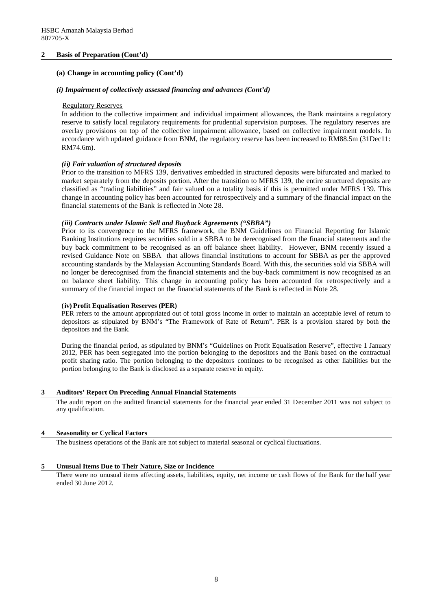#### **2 Basis of Preparation (Cont'd)**

#### **(a) Change in accounting policy (Cont'd)**

#### *(i) Impairment of collectively assessed financing and advances (Cont'd)*

#### Regulatory Reserves

In addition to the collective impairment and individual impairment allowances, the Bank maintains a regulatory reserve to satisfy local regulatory requirements for prudential supervision purposes. The regulatory reserves are overlay provisions on top of the collective impairment allowance, based on collective impairment models. In accordance with updated guidance from BNM, the regulatory reserve has been increased to RM88.5m (31Dec11: RM74.6m).

## *(ii) Fair valuation of structured deposits*

Prior to the transition to MFRS 139, derivatives embedded in structured deposits were bifurcated and marked to market separately from the deposits portion. After the transition to MFRS 139, the entire structured deposits are classified as "trading liabilities" and fair valued on a totality basis if this is permitted under MFRS 139. This change in accounting policy has been accounted for retrospectively and a summary of the financial impact on the financial statements of the Bank is reflected in Note 28.

#### *(iii) Contracts under Islamic Sell and Buyback Agreements ("SBBA")*

Prior to its convergence to the MFRS framework, the BNM Guidelines on Financial Reporting for Islamic Banking Institutions requires securities sold in a SBBA to be derecognised from the financial statements and the buy back commitment to be recognised as an off balance sheet liability. However, BNM recently issued a revised Guidance Note on SBBA that allows financial institutions to account for SBBA as per the approved accounting standards by the Malaysian Accounting Standards Board. With this, the securities sold via SBBA will no longer be derecognised from the financial statements and the buy-back commitment is now recognised as an on balance sheet liability. This change in accounting policy has been accounted for retrospectively and a summary of the financial impact on the financial statements of the Bank is reflected in Note 28.

#### **(iv) Profit Equalisation Reserves (PER)**

PER refers to the amount appropriated out of total gross income in order to maintain an acceptable level of return to depositors as stipulated by BNM's "The Framework of Rate of Return". PER is a provision shared by both the depositors and the Bank.

During the financial period, as stipulated by BNM's "Guidelines on Profit Equalisation Reserve", effective 1 January 2012, PER has been segregated into the portion belonging to the depositors and the Bank based on the contractual profit sharing ratio. The portion belonging to the depositors continues to be recognised as other liabilities but the portion belonging to the Bank is disclosed as a separate reserve in equity.

#### **3 Auditors' Report On Preceding Annual Financial Statements**

The audit report on the audited financial statements for the financial year ended 31 December 2011 was not subject to any qualification.

#### **4 Seasonality or Cyclical Factors**

The business operations of the Bank are not subject to material seasonal or cyclical fluctuations.

#### **5 Unusual Items Due to Their Nature, Size or Incidence**

There were no unusual items affecting assets, liabilities, equity, net income or cash flows of the Bank for the half year ended 30 June 2012.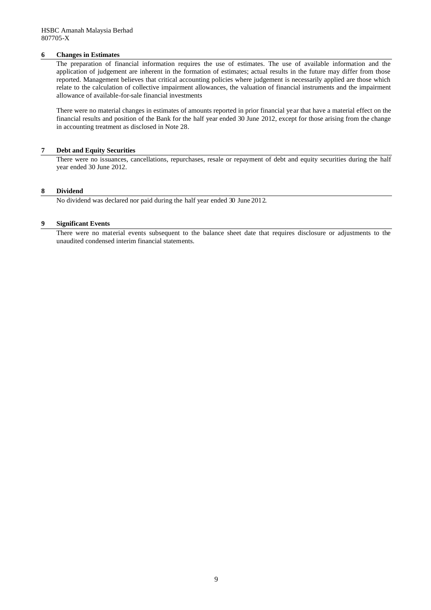#### **6 Changes in Estimates**

The preparation of financial information requires the use of estimates. The use of available information and the application of judgement are inherent in the formation of estimates; actual results in the future may differ from those reported. Management believes that critical accounting policies where judgement is necessarily applied are those which relate to the calculation of collective impairment allowances, the valuation of financial instruments and the impairment allowance of available-for-sale financial investments

There were no material changes in estimates of amounts reported in prior financial year that have a material effect on the financial results and position of the Bank for the half year ended 30 June 2012, except for those arising from the change in accounting treatment as disclosed in Note 28.

#### **7 Debt and Equity Securities**

There were no issuances, cancellations, repurchases, resale or repayment of debt and equity securities during the half year ended 30 June 2012.

#### **8 Dividend**

No dividend was declared nor paid during the half year ended 30 June 2012.

#### **9 Significant Events**

There were no material events subsequent to the balance sheet date that requires disclosure or adjustments to the unaudited condensed interim financial statements.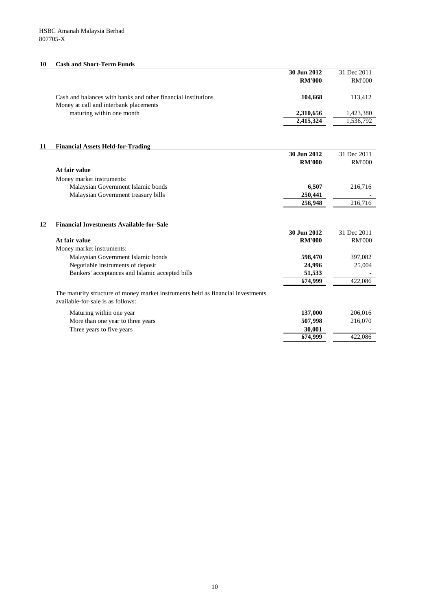#### **10 Cash and Short-Term Funds**

| 30 Jun 2012<br><b>RM'000</b> | 31 Dec 2011<br><b>RM'000</b> |
|------------------------------|------------------------------|
| 104.668                      | 113.412                      |
| 2,310,656                    | 1,423,380                    |
| 2,415,324                    | 1,536,792                    |
|                              |                              |

#### **11 Financial Assets Held-for-Trading**

|                                     | 30 Jun 2012   | 31 Dec 2011   |
|-------------------------------------|---------------|---------------|
|                                     | <b>RM'000</b> | <b>RM'000</b> |
| At fair value                       |               |               |
| Money market instruments:           |               |               |
| Malaysian Government Islamic bonds  | 6.507         | 216,716       |
| Malaysian Government treasury bills | 250,441       |               |
|                                     | 256,948       | 216,716       |
|                                     |               |               |

## **12 Financial Investments Available-for-Sale 30 Jun 2012** 31 Dec 2011 **At fair value RM'000** RM'000 Money market instruments: Malaysian Government Islamic bonds **598,470** 397,082 Negotiable instruments of deposit **24,996** 25,004 Bankers' acceptances and Islamic accepted bills  $\frac{51,533}{674,999}$   $\frac{-}{422,086}$  $674,999$ The maturity structure of money market instruments held as financial investments available-for-sale is as follows: Maturing within one year **137,000** 206,016 More than one year to three years **507,998** 216,070

<del>674,999</del>

Three years to five years **30,001**  $\frac{30,001}{674,999}$   $\frac{-}{422,086}$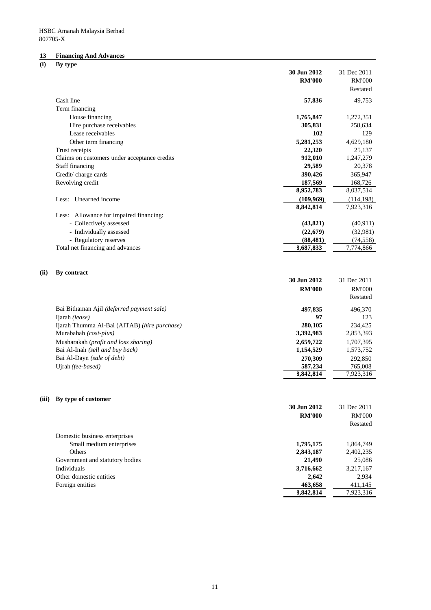# **13 Financing And Advances**

| (i) |  | By type |
|-----|--|---------|
|-----|--|---------|

|      | יו ⊽                                                                                                                                                | 30 Jun 2012<br><b>RM'000</b>                                          | 31 Dec 2011<br><b>RM'000</b><br>Restated                                           |
|------|-----------------------------------------------------------------------------------------------------------------------------------------------------|-----------------------------------------------------------------------|------------------------------------------------------------------------------------|
|      | Cash line                                                                                                                                           | 57,836                                                                | 49,753                                                                             |
|      | Term financing                                                                                                                                      |                                                                       |                                                                                    |
|      | House financing                                                                                                                                     | 1,765,847                                                             | 1,272,351                                                                          |
|      | Hire purchase receivables                                                                                                                           | 305,831                                                               | 258,634                                                                            |
|      | Lease receivables                                                                                                                                   | 102                                                                   | 129                                                                                |
|      | Other term financing                                                                                                                                | 5,281,253                                                             | 4,629,180                                                                          |
|      | Trust receipts                                                                                                                                      | 22,320                                                                | 25,137                                                                             |
|      | Claims on customers under acceptance credits                                                                                                        | 912,010                                                               | 1,247,279                                                                          |
|      | <b>Staff financing</b>                                                                                                                              | 29,589                                                                | 20,378                                                                             |
|      | Credit/charge cards                                                                                                                                 | 390,426                                                               | 365,947                                                                            |
|      | Revolving credit                                                                                                                                    | 187,569                                                               | 168,726                                                                            |
|      |                                                                                                                                                     | 8,952,783                                                             | 8,037,514                                                                          |
|      | Less: Unearned income                                                                                                                               | (109,969)                                                             | (114, 198)                                                                         |
|      |                                                                                                                                                     | 8,842,814                                                             | 7,923,316                                                                          |
|      | Less: Allowance for impaired financing:                                                                                                             |                                                                       |                                                                                    |
|      | - Collectively assessed                                                                                                                             | (43, 821)                                                             | (40, 911)                                                                          |
|      | - Individually assessed                                                                                                                             | (22, 679)                                                             | (32,981)                                                                           |
|      | - Regulatory reserves                                                                                                                               | (88, 481)                                                             | (74, 558)                                                                          |
|      | Total net financing and advances                                                                                                                    | 8,687,833                                                             | 7,774,866                                                                          |
| (ii) | By contract<br>Bai Bithaman Ajil (deferred payment sale)<br>Ijarah (lease)<br>Ijarah Thumma Al-Bai (AITAB) (hire purchase)<br>Murabahah (cost-plus) | 30 Jun 2012<br><b>RM'000</b><br>497,835<br>97<br>280,105<br>3,392,983 | 31 Dec 2011<br><b>RM'000</b><br>Restated<br>496,370<br>123<br>234,425<br>2,853,393 |
|      | Musharakah (profit and loss sharing)                                                                                                                | 2,659,722                                                             | 1,707,395                                                                          |
|      | Bai Al-Inah (sell and buy back)                                                                                                                     | 1,154,529                                                             | 1,573,752                                                                          |
|      | Bai Al-Dayn (sale of debt)                                                                                                                          | 270,309                                                               | 292,850                                                                            |
|      | Ujrah (fee-based)                                                                                                                                   | 587,234<br>8,842,814                                                  | 765,008<br>7,923,316                                                               |
|      | (iii) By type of customer                                                                                                                           | 30 Jun 2012                                                           | 31 Dec 2011                                                                        |
|      |                                                                                                                                                     | <b>RM'000</b>                                                         | <b>RM'000</b>                                                                      |
|      |                                                                                                                                                     |                                                                       | Restated                                                                           |
|      | Domestic business enterprises                                                                                                                       |                                                                       |                                                                                    |
|      | Small medium enterprises                                                                                                                            | 1,795,175                                                             | 1,864,749                                                                          |
|      | Others                                                                                                                                              | 2,843,187                                                             | 2,402,235                                                                          |
|      | Government and statutory bodies                                                                                                                     | 21,490                                                                | 25,086                                                                             |
|      | Individuals                                                                                                                                         | 3,716,662                                                             | 3,217,167                                                                          |
|      | Other domestic entities                                                                                                                             | 2,642                                                                 | 2,934                                                                              |
|      | Foreign entities                                                                                                                                    | 463,658                                                               | 411,145                                                                            |
|      |                                                                                                                                                     | 8,842,814                                                             | 7,923,316                                                                          |
|      |                                                                                                                                                     |                                                                       |                                                                                    |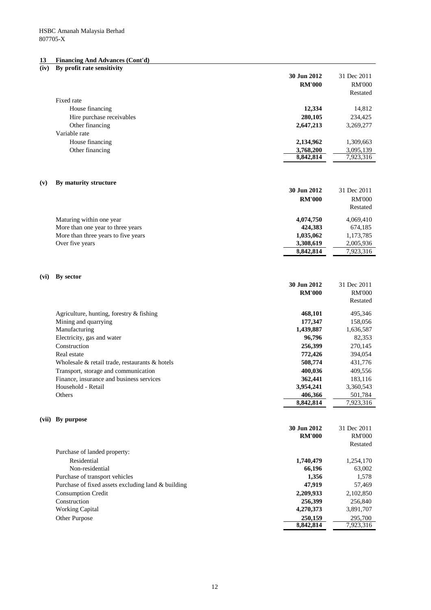#### **13 Financing And Advances (Cont'd)**

## **(iv) By profit rate sensitivity**

|                                                    | 30 Jun 2012<br><b>RM'000</b> | 31 Dec 2011<br><b>RM'000</b><br>Restated |
|----------------------------------------------------|------------------------------|------------------------------------------|
| Fixed rate                                         |                              |                                          |
| House financing                                    | 12,334                       | 14,812                                   |
| Hire purchase receivables                          | 280,105                      | 234,425                                  |
| Other financing                                    | 2,647,213                    | 3,269,277                                |
| Variable rate                                      |                              |                                          |
| House financing                                    | 2,134,962                    | 1,309,663                                |
| Other financing                                    | 3,768,200                    | 3,095,139                                |
|                                                    | 8,842,814                    | 7,923,316                                |
| By maturity structure<br>(v)                       |                              |                                          |
|                                                    | 30 Jun 2012                  | 31 Dec 2011                              |
|                                                    | <b>RM'000</b>                | <b>RM'000</b>                            |
|                                                    |                              | Restated                                 |
| Maturing within one year                           | 4,074,750                    | 4,069,410                                |
| More than one year to three years                  | 424,383                      | 674,185                                  |
| More than three years to five years                | 1,035,062                    | 1,173,785                                |
| Over five years                                    | 3,308,619                    | 2,005,936                                |
|                                                    | 8,842,814                    | 7,923,316                                |
|                                                    |                              |                                          |
| By sector<br>(vi)                                  | 30 Jun 2012                  | 31 Dec 2011                              |
|                                                    | <b>RM'000</b>                | <b>RM'000</b>                            |
|                                                    |                              | Restated                                 |
| Agriculture, hunting, forestry & fishing           | 468,101                      | 495,346                                  |
| Mining and quarrying                               | 177,347                      | 158,056                                  |
| Manufacturing                                      | 1,439,887                    | 1,636,587                                |
| Electricity, gas and water                         | 96,796                       | 82,353                                   |
| Construction                                       | 256,399                      | 270,145                                  |
| Real estate                                        | 772,426                      | 394,054                                  |
| Wholesale & retail trade, restaurants & hotels     | 508,774                      | 431,776                                  |
| Transport, storage and communication               | 400,036                      | 409,556                                  |
| Finance, insurance and business services           | 362,441                      | 183,116                                  |
| Household - Retail                                 | 3,954,241                    | 3,360,543                                |
| Others                                             | 406.366                      | 501.784                                  |
|                                                    | 8,842,814                    | 7,923,316                                |
| (vii) By purpose                                   |                              |                                          |
|                                                    | 30 Jun 2012                  | 31 Dec 2011                              |
|                                                    | <b>RM'000</b>                | <b>RM'000</b>                            |
| Purchase of landed property:                       |                              | Restated                                 |
| Residential                                        | 1,740,479                    | 1,254,170                                |
| Non-residential                                    | 66,196                       | 63,002                                   |
| Purchase of transport vehicles                     | 1,356                        | 1,578                                    |
| Purchase of fixed assets excluding land & building | 47,919                       | 57,469                                   |
| <b>Consumption Credit</b>                          | 2,209,933                    | 2,102,850                                |
| Construction                                       | 256,399                      | 256,840                                  |
| <b>Working Capital</b>                             | 4,270,373                    | 3,891,707                                |
| Other Purpose                                      | 250,159                      | 295,700                                  |
|                                                    | 8,842,814                    | 7,923,316                                |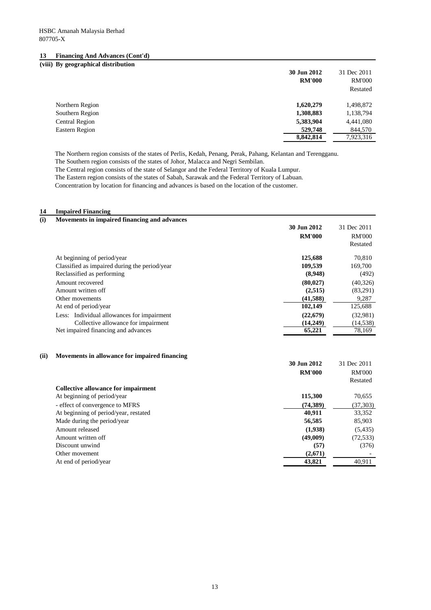#### **13 Financing And Advances (Cont'd)**

# **(viii) By geographical distribution**

|                 | 30 Jun 2012<br><b>RM'000</b> | 31 Dec 2011<br><b>RM'000</b><br>Restated |
|-----------------|------------------------------|------------------------------------------|
| Northern Region | 1,620,279                    | 1,498,872                                |
| Southern Region | 1,308,883                    | 1,138,794                                |
| Central Region  | 5,383,904                    | 4,441,080                                |
| Eastern Region  | 529,748                      | 844,570                                  |
|                 | 8,842,814                    | 7,923,316                                |

The Northern region consists of the states of Perlis, Kedah, Penang, Perak, Pahang, Kelantan and Terengganu.

The Southern region consists of the states of Johor, Malacca and Negri Sembilan.

The Central region consists of the state of Selangor and the Federal Territory of Kuala Lumpur.

The Eastern region consists of the states of Sabah, Sarawak and the Federal Territory of Labuan.

Concentration by location for financing and advances is based on the location of the customer.

# **14 Impaired Financing**

| (i) | Movements in impaired financing and advances  |               |               |
|-----|-----------------------------------------------|---------------|---------------|
|     |                                               | 30 Jun 2012   | 31 Dec 2011   |
|     |                                               | <b>RM'000</b> | <b>RM'000</b> |
|     |                                               |               | Restated      |
|     | At beginning of period/year                   | 125,688       | 70,810        |
|     | Classified as impaired during the period/year | 109,539       | 169,700       |
|     | Reclassified as performing                    | (8,948)       | (492)         |
|     | Amount recovered                              | (80, 027)     | (40, 326)     |
|     | Amount written off                            | (2,515)       | (83,291)      |
|     | Other movements                               | (41, 588)     | 9,287         |
|     | At end of period/year                         | 102,149       | 125,688       |
|     | Less: Individual allowances for impairment    | (22,679)      | (32,981)      |
|     | Collective allowance for impairment           | (14,249)      | (14, 538)     |
|     | Net impaired financing and advances           | 65,221        | 78,169        |

#### **(ii) Movements in allowance for impaired financing**

|                                            | <b>RM'000</b> | <b>RM'000</b> |
|--------------------------------------------|---------------|---------------|
|                                            |               | Restated      |
| <b>Collective allowance for impairment</b> |               |               |
| At beginning of period/year                | 115,300       | 70,655        |
| - effect of convergence to MFRS            | (74, 389)     | (37, 303)     |
| At beginning of period/year, restated      | 40,911        | 33,352        |
| Made during the period/year                | 56,585        | 85,903        |
| Amount released                            | (1,938)       | (5, 435)      |
| Amount written off                         | (49,009)      | (72, 533)     |
| Discount unwind                            | (57)          | (376)         |
| Other movement                             | (2,671)       |               |
| At end of period/year                      | 43,821        | 40,911        |
|                                            |               |               |

**30 Jun 2012** 31 Dec 2011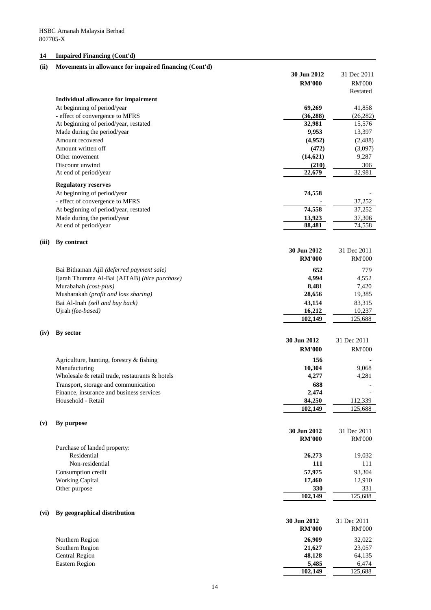# **14 Impaired Financing (Cont'd)**

# **(ii) Movements in allowance for impaired financing (Cont'd)**

|       |                                                | 30 Jun 2012   | 31 Dec 2011   |
|-------|------------------------------------------------|---------------|---------------|
|       |                                                | <b>RM'000</b> | <b>RM'000</b> |
|       |                                                |               | Restated      |
|       | Individual allowance for impairment            |               |               |
|       | At beginning of period/year                    | 69,269        | 41,858        |
|       | - effect of convergence to MFRS                | (36, 288)     | (26, 282)     |
|       | At beginning of period/year, restated          | 32,981        | 15,576        |
|       | Made during the period/year                    | 9,953         | 13,397        |
|       | Amount recovered                               | (4,952)       | (2, 488)      |
|       | Amount written off                             |               |               |
|       |                                                | (472)         | (3,097)       |
|       | Other movement                                 | (14, 621)     | 9,287         |
|       | Discount unwind                                | (210)         | 306           |
|       | At end of period/year                          | 22,679        | 32,981        |
|       | <b>Regulatory reserves</b>                     |               |               |
|       | At beginning of period/year                    | 74,558        |               |
|       | - effect of convergence to MFRS                |               | 37,252        |
|       | At beginning of period/year, restated          | 74,558        | 37,252        |
|       | Made during the period/year                    | 13,923        | 37,306        |
|       | At end of period/year                          | 88,481        | 74,558        |
|       |                                                |               |               |
| (iii) | By contract                                    |               |               |
|       |                                                | 30 Jun 2012   | 31 Dec 2011   |
|       |                                                |               |               |
|       |                                                | <b>RM'000</b> | <b>RM'000</b> |
|       | Bai Bithaman Ajil (deferred payment sale)      | 652           | 779           |
|       | Ijarah Thumma Al-Bai (AITAB) (hire purchase)   | 4,994         | 4,552         |
|       | Murabahah (cost-plus)                          | 8,481         | 7,420         |
|       | Musharakah (profit and loss sharing)           | 28,656        | 19,385        |
|       | Bai Al-Inah (sell and buy back)                | 43,154        | 83,315        |
|       | Ujrah (fee-based)                              | 16,212        | 10,237        |
|       |                                                | 102,149       | 125,688       |
|       |                                                |               |               |
| (iv)  | By sector                                      |               |               |
|       |                                                | 30 Jun 2012   | 31 Dec 2011   |
|       |                                                | <b>RM'000</b> | <b>RM'000</b> |
|       | Agriculture, hunting, forestry & fishing       | 156           |               |
|       | Manufacturing                                  | 10,304        | 9,068         |
|       | Wholesale & retail trade, restaurants & hotels | 4,277         | 4,281         |
|       |                                                | 688           |               |
|       | Transport, storage and communication           |               |               |
|       | Finance, insurance and business services       | 2,474         |               |
|       | Household - Retail                             | 84,250        | 112,339       |
|       |                                                | 102,149       | 125,688       |
| (v)   | By purpose                                     |               |               |
|       |                                                | 30 Jun 2012   | 31 Dec 2011   |
|       |                                                | <b>RM'000</b> | <b>RM'000</b> |
|       | Purchase of landed property:                   |               |               |
|       | Residential                                    |               | 19,032        |
|       | Non-residential                                | 26,273<br>111 | 111           |
|       |                                                |               |               |
|       | Consumption credit                             | 57,975        | 93,304        |
|       | <b>Working Capital</b>                         | 17,460        | 12,910        |
|       | Other purpose                                  | 330           | 331           |
|       |                                                | 102,149       | 125,688       |
|       |                                                |               |               |
| (vi)  | By geographical distribution                   |               |               |
|       |                                                | 30 Jun 2012   | 31 Dec 2011   |
|       |                                                | <b>RM'000</b> | <b>RM'000</b> |
|       | Northern Region                                | 26,909        | 32,022        |
|       | Southern Region                                | 21,627        | 23,057        |
|       | <b>Central Region</b>                          | 48,128        | 64,135        |
|       | Eastern Region                                 | 5,485         | 6,474         |
|       |                                                | 102,149       | 125,688       |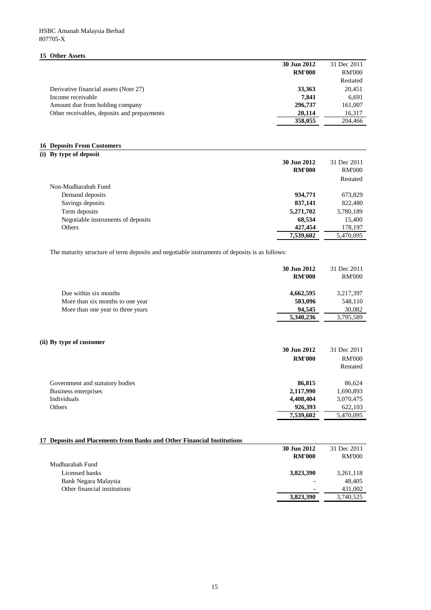## **15 Other Assets**

|                                             | 30 Jun 2012   | 31 Dec 2011   |
|---------------------------------------------|---------------|---------------|
|                                             | <b>RM'000</b> | <b>RM'000</b> |
|                                             |               | Restated      |
| Derivative financial assets (Note 27)       | 33,363        | 20,451        |
| Income receivable                           | 7.841         | 6,691         |
| Amount due from holding company             | 296,737       | 161,007       |
| Other receivables, deposits and prepayments | 20.114        | 16,317        |
|                                             | 358,055       | 204,466       |

## **16 Deposits From Customers**

# **(i) By type of deposit**

|                                    | 30 Jun 2012<br><b>RM'000</b> | 31 Dec 2011<br><b>RM'000</b><br>Restated |
|------------------------------------|------------------------------|------------------------------------------|
| Non-Mudharabah Fund                |                              |                                          |
| Demand deposits                    | 934,771                      | 673,829                                  |
| Savings deposits                   | 837,141                      | 822,480                                  |
| Term deposits                      | 5,271,702                    | 3,780,189                                |
| Negotiable instruments of deposits | 68,534                       | 15,400                                   |
| Others                             | 427,454                      | 178,197                                  |
|                                    | 7,539,602                    | 5,470,095                                |

The maturity structure of term deposits and negotiable instruments of deposits is as follows:

|                                   | 30 Jun 2012<br><b>RM'000</b> | 31 Dec 2011<br><b>RM'000</b> |
|-----------------------------------|------------------------------|------------------------------|
| Due within six months             | 4,662,595                    | 3,217,397                    |
| More than six months to one year  | 583,096                      | 548,110                      |
| More than one year to three years | 94.545                       | 30,082                       |
|                                   | 5,340,236                    | 3,795,589                    |

#### **(ii) By type of customer**

| 30 Jun 2012<br><b>RM'000</b>              | 31 Dec 2011<br><b>RM'000</b><br>Restated |
|-------------------------------------------|------------------------------------------|
| 86,815<br>Government and statutory bodies | 86,624                                   |
| Business enterprises<br>2,117,990         | 1,690,893                                |
| Individuals<br>4,408,404                  | 3,070,475                                |
| 926,393<br>Others                         | 622,103                                  |
| 7,539,602                                 | 5,470,095                                |

# **17 Deposits and Placements from Banks and Other Financial Institutions**

|                              | 30 Jun 2012   | 31 Dec 2011   |
|------------------------------|---------------|---------------|
|                              | <b>RM'000</b> | <b>RM'000</b> |
| Mudharabah Fund              |               |               |
| Licensed banks               | 3,823,390     | 3,261,118     |
| Bank Negara Malaysia         | ٠             | 48.405        |
| Other financial institutions | ٠             | 431,002       |
|                              | 3,823,390     | 3,740,525     |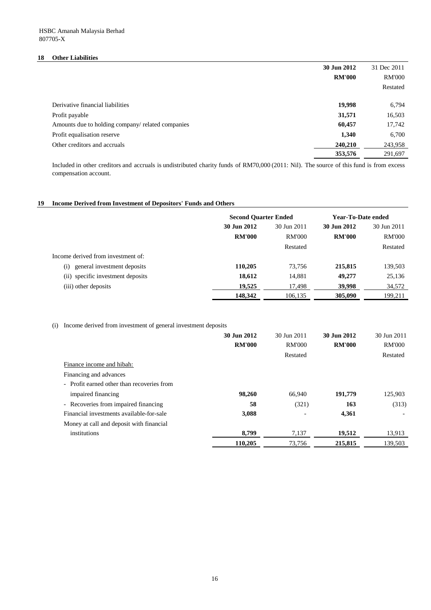## **18 Other Liabilities**

|                                                   | 30 Jun 2012   | 31 Dec 2011   |
|---------------------------------------------------|---------------|---------------|
|                                                   | <b>RM'000</b> | <b>RM'000</b> |
|                                                   |               | Restated      |
|                                                   |               |               |
| Derivative financial liabilities                  | 19,998        | 6,794         |
| Profit payable                                    | 31,571        | 16,503        |
| Amounts due to holding company/ related companies | 60,457        | 17,742        |
| Profit equalisation reserve                       | 1,340         | 6,700         |
| Other creditors and accruals                      | 240,210       | 243,958       |
|                                                   | 353,576       | 291,697       |

Included in other creditors and accruals is undistributed charity funds of RM70,000 (2011: Nil). The source of this fund is from excess compensation account.

# **19 Income Derived from Investment of Depositors' Funds and Others**

|                                    | <b>Second Quarter Ended</b> |               | Year-To-Date ended |               |
|------------------------------------|-----------------------------|---------------|--------------------|---------------|
|                                    | 30 Jun 2012                 | 30 Jun 2011   | 30 Jun 2012        | 30 Jun 2011   |
|                                    | <b>RM'000</b>               | <b>RM'000</b> | <b>RM'000</b>      | <b>RM'000</b> |
|                                    |                             | Restated      |                    | Restated      |
| Income derived from investment of: |                             |               |                    |               |
| general investment deposits<br>(i) | 110,205                     | 73.756        | 215,815            | 139,503       |
| (ii) specific investment deposits  | 18,612                      | 14,881        | 49,277             | 25,136        |
| (iii) other deposits               | 19.525                      | 17,498        | 39,998             | 34,572        |
|                                    | 148.342                     | 106,135       | 305,090            | 199,211       |

## (i) Income derived from investment of general investment deposits

|                                            | 30 Jun 2012   | 30 Jun 2011              | 30 Jun 2012   | 30 Jun 2011   |
|--------------------------------------------|---------------|--------------------------|---------------|---------------|
|                                            | <b>RM'000</b> | <b>RM'000</b>            | <b>RM'000</b> | <b>RM'000</b> |
|                                            |               | Restated                 |               | Restated      |
| Finance income and hibah:                  |               |                          |               |               |
| Financing and advances                     |               |                          |               |               |
| - Profit earned other than recoveries from |               |                          |               |               |
| impaired financing                         | 98,260        | 66,940                   | 191,779       | 125,903       |
| - Recoveries from impaired financing       | 58            | (321)                    | 163           | (313)         |
| Financial investments available-for-sale   | 3,088         | $\overline{\phantom{a}}$ | 4,361         |               |
| Money at call and deposit with financial   |               |                          |               |               |
| institutions                               | 8.799         | 7,137                    | 19.512        | 13,913        |
|                                            | 110,205       | 73,756                   | 215,815       | 139.503       |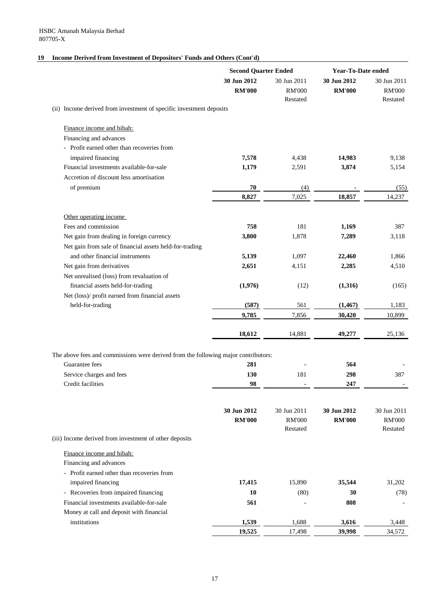# **19 Income Derived from Investment of Depositors' Funds and Others (Cont'd)**

|                                                                                    | <b>Second Quarter Ended</b>  |                                          |                              | <b>Year-To-Date ended</b>                |  |
|------------------------------------------------------------------------------------|------------------------------|------------------------------------------|------------------------------|------------------------------------------|--|
|                                                                                    | 30 Jun 2012<br><b>RM'000</b> | 30 Jun 2011<br><b>RM'000</b><br>Restated | 30 Jun 2012<br><b>RM'000</b> | 30 Jun 2011<br><b>RM'000</b><br>Restated |  |
| (ii) Income derived from investment of specific investment deposits                |                              |                                          |                              |                                          |  |
| Finance income and hibah:                                                          |                              |                                          |                              |                                          |  |
| Financing and advances                                                             |                              |                                          |                              |                                          |  |
| - Profit earned other than recoveries from                                         |                              |                                          |                              |                                          |  |
| impaired financing                                                                 | 7,578                        | 4,438                                    | 14,983                       | 9,138                                    |  |
| Financial investments available-for-sale                                           | 1,179                        | 2,591                                    | 3,874                        | 5,154                                    |  |
| Accretion of discount less amortisation                                            |                              |                                          |                              |                                          |  |
| of premium                                                                         | 70                           | (4)                                      |                              | (55)                                     |  |
|                                                                                    | 8,827                        | 7,025                                    | 18,857                       | 14,237                                   |  |
| Other operating income                                                             |                              |                                          |                              |                                          |  |
| Fees and commission                                                                | 758                          | 181                                      | 1,169                        | 387                                      |  |
| Net gain from dealing in foreign currency                                          | 3,800                        | 1,878                                    | 7,289                        | 3,118                                    |  |
| Net gain from sale of financial assets held-for-trading                            |                              |                                          |                              |                                          |  |
| and other financial instruments                                                    | 5,139                        | 1,097                                    | 22,460                       | 1,866                                    |  |
| Net gain from derivatives                                                          | 2,651                        | 4,151                                    | 2,285                        | 4,510                                    |  |
| Net unrealised (loss) from revaluation of                                          |                              |                                          |                              |                                          |  |
| financial assets held-for-trading                                                  | (1,976)                      | (12)                                     | (1,316)                      | (165)                                    |  |
| Net (loss)/ profit earned from financial assets                                    |                              |                                          |                              |                                          |  |
| held-for-trading                                                                   | (587)                        | 561                                      | (1, 467)                     | 1,183                                    |  |
|                                                                                    | 9,785                        | 7,856                                    | 30,420                       | 10,899                                   |  |
|                                                                                    | 18,612                       | 14,881                                   | 49,277                       | 25,136                                   |  |
|                                                                                    |                              |                                          |                              |                                          |  |
| The above fees and commissions were derived from the following major contributors: |                              |                                          |                              |                                          |  |
| Guarantee fees                                                                     | 281                          |                                          | 564                          |                                          |  |
| Service charges and fees<br>Credit facilities                                      | 130<br>98                    | 181                                      | 298<br>247                   | 387                                      |  |
|                                                                                    |                              |                                          |                              |                                          |  |
|                                                                                    | 30 Jun 2012                  | 30 Jun 2011                              | 30 Jun 2012                  | 30 Jun 2011                              |  |
|                                                                                    | <b>RM'000</b>                | <b>RM'000</b>                            | <b>RM'000</b>                | <b>RM'000</b>                            |  |
|                                                                                    |                              | Restated                                 |                              | Restated                                 |  |
| (iii) Income derived from investment of other deposits                             |                              |                                          |                              |                                          |  |
| Finance income and hibah:                                                          |                              |                                          |                              |                                          |  |
| Financing and advances                                                             |                              |                                          |                              |                                          |  |
| - Profit earned other than recoveries from                                         |                              |                                          |                              |                                          |  |
| impaired financing                                                                 | 17,415                       | 15,890                                   | 35,544                       | 31,202                                   |  |
| - Recoveries from impaired financing                                               | 10                           | (80)                                     | 30                           | (78)                                     |  |
| Financial investments available-for-sale                                           | 561                          |                                          | 808                          |                                          |  |
| Money at call and deposit with financial                                           |                              |                                          |                              |                                          |  |
| institutions                                                                       | 1,539                        | 1,688                                    | 3,616                        | 3,448                                    |  |
|                                                                                    | 19,525                       | 17,498                                   | 39,998                       | 34,572                                   |  |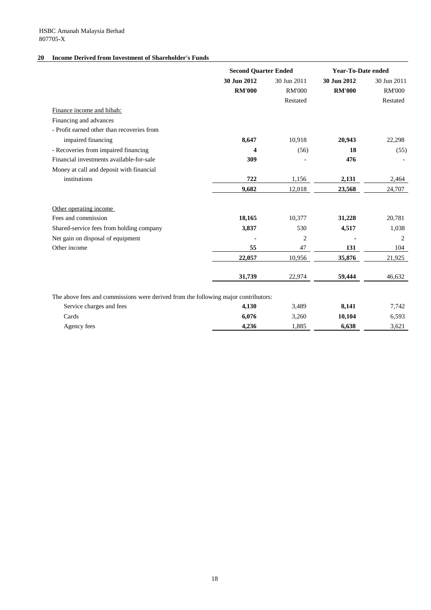# **20 Income Derived from Investment of Shareholder's Funds**

|                                                                                    | <b>Second Quarter Ended</b> |                | <b>Year-To-Date ended</b> |               |
|------------------------------------------------------------------------------------|-----------------------------|----------------|---------------------------|---------------|
|                                                                                    | 30 Jun 2012                 | 30 Jun 2011    | 30 Jun 2012               | 30 Jun 2011   |
|                                                                                    | <b>RM'000</b>               | <b>RM'000</b>  | <b>RM'000</b>             | <b>RM'000</b> |
|                                                                                    |                             | Restated       |                           | Restated      |
| Finance income and hibah:                                                          |                             |                |                           |               |
| Financing and advances                                                             |                             |                |                           |               |
| - Profit earned other than recoveries from                                         |                             |                |                           |               |
| impaired financing                                                                 | 8,647                       | 10,918         | 20,943                    | 22,298        |
| - Recoveries from impaired financing                                               | $\boldsymbol{\Delta}$       | (56)           | 18                        | (55)          |
| Financial investments available-for-sale                                           | 309                         |                | 476                       |               |
| Money at call and deposit with financial                                           |                             |                |                           |               |
| institutions                                                                       | 722                         | 1,156          | 2,131                     | 2,464         |
|                                                                                    | 9.682                       | 12,018         | 23,568                    | 24,707        |
| Other operating income                                                             |                             |                |                           |               |
| Fees and commission                                                                | 18,165                      | 10,377         | 31,228                    | 20,781        |
| Shared-service fees from holding company                                           | 3,837                       | 530            | 4,517                     | 1,038         |
| Net gain on disposal of equipment                                                  |                             | $\overline{c}$ |                           | 2             |
| Other income                                                                       | 55                          | 47             | 131                       | 104           |
|                                                                                    | 22,057                      | 10,956         | 35,876                    | 21,925        |
|                                                                                    | 31,739                      | 22,974         | 59,444                    | 46,632        |
| The above fees and commissions were derived from the following major contributors: |                             |                |                           |               |
| Service charges and fees                                                           | 4,130                       | 3,489          | 8,141                     | 7,742         |
| Cards                                                                              | 6.076                       | 3.260          | 10.104                    | 6,593         |

Agency fees **4,236** 1,885 **6,638** 3,621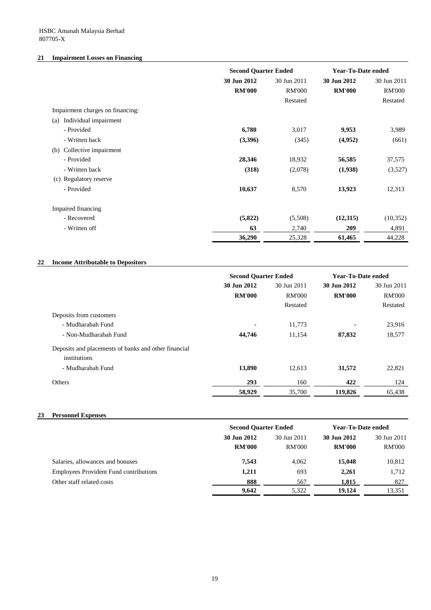# **21 Impairment Losses on Financing**

|                                  |               | <b>Second Quarter Ended</b> |               | Year-To-Date ended |  |
|----------------------------------|---------------|-----------------------------|---------------|--------------------|--|
|                                  | 30 Jun 2012   | 30 Jun 2011                 | 30 Jun 2012   | 30 Jun 2011        |  |
|                                  | <b>RM'000</b> | <b>RM'000</b>               | <b>RM'000</b> | <b>RM'000</b>      |  |
|                                  |               | Restated                    |               | Restated           |  |
| Impairment charges on financing: |               |                             |               |                    |  |
| Individual impairment<br>(a)     |               |                             |               |                    |  |
| - Provided                       | 6,780         | 3,017                       | 9,953         | 3,989              |  |
| - Written back                   | (3,396)       | (345)                       | (4,952)       | (661)              |  |
| Collective impairment<br>(b)     |               |                             |               |                    |  |
| - Provided                       | 28,346        | 18,932                      | 56,585        | 37,575             |  |
| - Written back                   | (318)         | (2,078)                     | (1,938)       | (3,527)            |  |
| Regulatory reserve<br>(c)        |               |                             |               |                    |  |
| - Provided                       | 10,637        | 8,570                       | 13,923        | 12,313             |  |
| Impaired financing               |               |                             |               |                    |  |
| - Recovered                      | (5,822)       | (5,508)                     | (12,315)      | (10, 352)          |  |
| - Written off                    | 63            | 2,740                       | 209           | 4,891              |  |
|                                  | 36,290        | 25,328                      | 61,465        | 44,228             |  |

# **22 Income Attributable to Depositors**

|                                                      | <b>Second Quarter Ended</b> |               | <b>Year-To-Date ended</b> |               |  |
|------------------------------------------------------|-----------------------------|---------------|---------------------------|---------------|--|
|                                                      | 30 Jun 2012                 | 30 Jun 2011   | 30 Jun 2012               | 30 Jun 2011   |  |
|                                                      | <b>RM'000</b>               | <b>RM'000</b> | <b>RM'000</b>             | <b>RM'000</b> |  |
|                                                      |                             | Restated      |                           | Restated      |  |
| Deposits from customers                              |                             |               |                           |               |  |
| - Mudharabah Fund                                    | ۰                           | 11,773        | ۰                         | 23,916        |  |
| - Non-Mudharabah Fund                                | 44,746                      | 11,154        | 87,832                    | 18,577        |  |
| Deposits and placements of banks and other financial |                             |               |                           |               |  |
| institutions                                         |                             |               |                           |               |  |
| - Mudharabah Fund                                    | 13,890                      | 12,613        | 31,572                    | 22,821        |  |
| Others                                               | 293                         | 160           | 422                       | 124           |  |
|                                                      | 58,929                      | 35,700        | 119,826                   | 65,438        |  |

## **23 Personnel Expenses**

|                                               | <b>Second Quarter Ended</b>  |                              | Year-To-Date ended           |                              |
|-----------------------------------------------|------------------------------|------------------------------|------------------------------|------------------------------|
|                                               | 30 Jun 2012<br><b>RM'000</b> | 30 Jun 2011<br><b>RM'000</b> | 30 Jun 2012<br><b>RM'000</b> | 30 Jun 2011<br><b>RM'000</b> |
| Salaries, allowances and bonuses              | 7,543                        | 4.062                        | 15,048                       | 10,812                       |
| <b>Employees Provident Fund contributions</b> | 1,211                        | 693                          | 2,261                        | 1,712                        |
| Other staff related costs                     | 888                          | 567                          | 1.815                        | 827                          |
|                                               | 9.642                        | 5,322                        | 19.124                       | 13,351                       |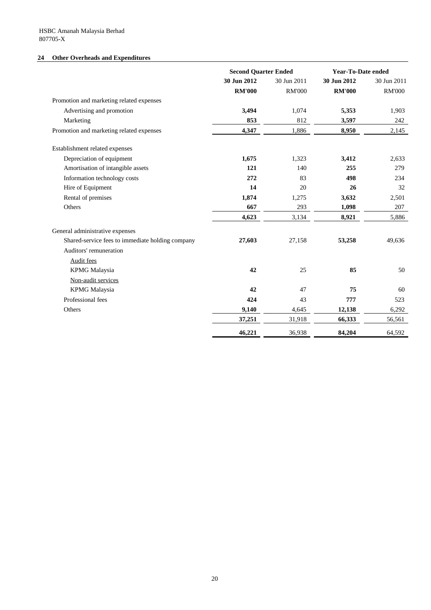# **24 Other Overheads and Expenditures**

|                                                  | <b>Second Quarter Ended</b> |               | <b>Year-To-Date ended</b> |               |
|--------------------------------------------------|-----------------------------|---------------|---------------------------|---------------|
|                                                  | 30 Jun 2012                 | 30 Jun 2011   | 30 Jun 2012               | 30 Jun 2011   |
|                                                  | <b>RM'000</b>               | <b>RM'000</b> | <b>RM'000</b>             | <b>RM'000</b> |
| Promotion and marketing related expenses         |                             |               |                           |               |
| Advertising and promotion                        | 3,494                       | 1,074         | 5,353                     | 1,903         |
| Marketing                                        | 853                         | 812           | 3,597                     | 242           |
| Promotion and marketing related expenses         | 4,347                       | 1,886         | 8,950                     | 2,145         |
| Establishment related expenses                   |                             |               |                           |               |
| Depreciation of equipment                        | 1,675                       | 1,323         | 3,412                     | 2,633         |
| Amortisation of intangible assets                | 121                         | 140           | 255                       | 279           |
| Information technology costs                     | 272                         | 83            | 498                       | 234           |
| Hire of Equipment                                | 14                          | 20            | 26                        | 32            |
| Rental of premises                               | 1,874                       | 1,275         | 3,632                     | 2,501         |
| Others                                           | 667                         | 293           | 1,098                     | 207           |
|                                                  | 4,623                       | 3,134         | 8,921                     | 5,886         |
| General administrative expenses                  |                             |               |                           |               |
| Shared-service fees to immediate holding company | 27,603                      | 27,158        | 53,258                    | 49,636        |
| Auditors' remuneration                           |                             |               |                           |               |
| Audit fees                                       |                             |               |                           |               |
| <b>KPMG</b> Malaysia                             | 42                          | 25            | 85                        | 50            |
| Non-audit services                               |                             |               |                           |               |
| <b>KPMG</b> Malaysia                             | 42                          | 47            | 75                        | 60            |
| Professional fees                                | 424                         | 43            | 777                       | 523           |
| Others                                           | 9,140                       | 4,645         | 12,138                    | 6,292         |
|                                                  | 37,251                      | 31,918        | 66,333                    | 56,561        |
|                                                  | 46,221                      | 36,938        | 84,204                    | 64,592        |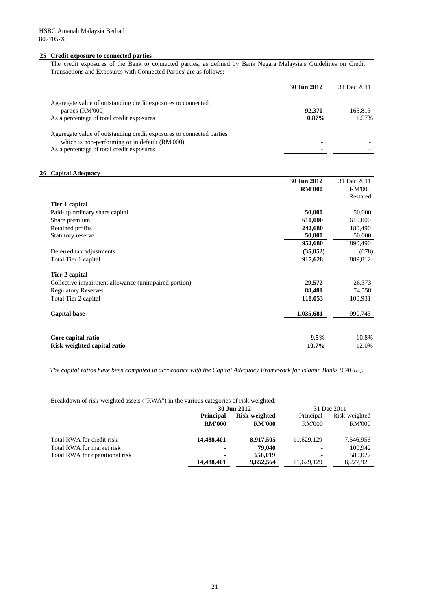#### **25 Credit exposure to connected parties**

The credit exposures of the Bank to connected parties, as defined by Bank Negara Malaysia's Guidelines on Credit Transactions and Exposures with Connected Parties' are as follows:

|                                                                                                                                                                     | 30 Jun 2012 | 31 Dec 2011 |
|---------------------------------------------------------------------------------------------------------------------------------------------------------------------|-------------|-------------|
| Aggregate value of outstanding credit exposures to connected                                                                                                        |             |             |
| parties (RM'000)                                                                                                                                                    | 92,370      | 165.813     |
| As a percentage of total credit exposures                                                                                                                           | $0.87\%$    | 1.57%       |
| Aggregate value of outstanding credit exposures to connected parties<br>which is non-performing or in default (RM'000)<br>As a percentage of total credit exposures |             |             |
|                                                                                                                                                                     |             |             |

#### **26 Capital Adequacy**

|                                                      | 30 Jun 2012   | 31 Dec 2011   |
|------------------------------------------------------|---------------|---------------|
|                                                      | <b>RM'000</b> | <b>RM'000</b> |
|                                                      |               | Restated      |
| Tier 1 capital                                       |               |               |
| Paid-up ordinary share capital                       | 50,000        | 50,000        |
| Share premium                                        | 610,000       | 610,000       |
| Retained profits                                     | 242,680       | 180,490       |
| Statutory reserve                                    | 50,000        | 50,000        |
|                                                      | 952,680       | 890,490       |
| Deferred tax adjustments                             | (35, 052)     | (678)         |
| Total Tier 1 capital                                 | 917,628       | 889,812       |
|                                                      |               |               |
| Tier 2 capital                                       |               |               |
| Collective impairment allowance (unimpaired portion) | 29,572        | 26,373        |
| <b>Regulatory Reserves</b>                           | 88,481        | 74,558        |
| Total Tier 2 capital                                 | 118,053       | 100,931       |
|                                                      |               |               |
| <b>Capital base</b>                                  | 1,035,681     | 990,743       |
|                                                      |               |               |
|                                                      |               |               |
| Core capital ratio                                   | 9.5%          | 10.8%         |
| Risk-weighted capital ratio                          | 10.7%         | 12.0%         |

*The capital ratios have been computed in accordance with the Capital Adequacy Framework for Islamic Banks (CAFIB).*

Breakdown of risk-weighted assets ("RWA") in the various categories of risk weighted:

|                                | 30 Jun 2012      |               | 31 Dec 2011   |               |
|--------------------------------|------------------|---------------|---------------|---------------|
|                                | <b>Principal</b> | Risk-weighted | Principal     | Risk-weighted |
|                                | <b>RM'000</b>    | <b>RM'000</b> | <b>RM'000</b> | <b>RM'000</b> |
| Total RWA for credit risk      | 14,488,401       | 8,917,505     | 11.629.129    | 7,546,956     |
| Total RWA for market risk      | ٠                | 79,040        |               | 100.942       |
| Total RWA for operational risk | ٠                | 656,019       |               | 580,027       |
|                                | 14,488,401       | 9,652,564     | 11,629,129    | 8,227,925     |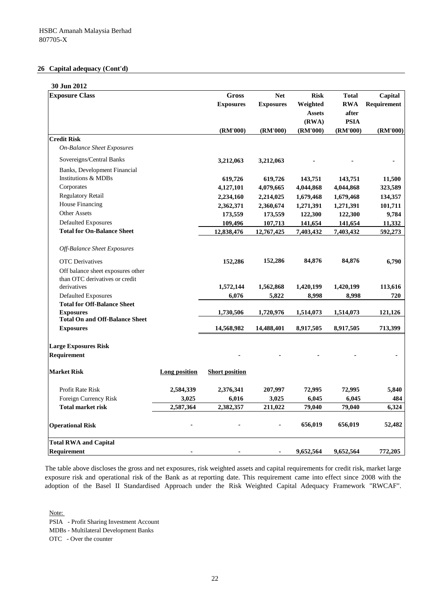#### **26 Capital adequacy (Cont'd)**

| 30 Jun 2012                                               |               |                       |                  |               |              |             |
|-----------------------------------------------------------|---------------|-----------------------|------------------|---------------|--------------|-------------|
| <b>Exposure Class</b>                                     |               | Gross                 | <b>Net</b>       | <b>Risk</b>   | <b>Total</b> | Capital     |
|                                                           |               | <b>Exposures</b>      | <b>Exposures</b> | Weighted      | <b>RWA</b>   | Requirement |
|                                                           |               |                       |                  | <b>Assets</b> | after        |             |
|                                                           |               |                       |                  | (RWA)         | <b>PSIA</b>  |             |
|                                                           |               | (RM'000)              | (RM'000)         | (RM'000)      | (RM'000)     | (RM'000)    |
| <b>Credit Risk</b>                                        |               |                       |                  |               |              |             |
| <b>On-Balance Sheet Exposures</b>                         |               |                       |                  |               |              |             |
| Sovereigns/Central Banks                                  |               | 3,212,063             | 3,212,063        |               |              |             |
| Banks, Development Financial                              |               |                       |                  |               |              |             |
| <b>Institutions &amp; MDBs</b>                            |               | 619,726               | 619,726          | 143,751       | 143,751      | 11,500      |
| Corporates                                                |               | 4,127,101             | 4,079,665        | 4,044,868     | 4,044,868    | 323,589     |
| <b>Regulatory Retail</b>                                  |               | 2,234,160             | 2,214,025        | 1,679,468     | 1,679,468    | 134,357     |
| House Financing                                           |               | 2,362,371             | 2,360,674        | 1,271,391     | 1,271,391    | 101,711     |
| <b>Other Assets</b>                                       |               | 173,559               | 173,559          | 122,300       | 122,300      | 9,784       |
| <b>Defaulted Exposures</b>                                |               | 109,496               | 107,713          | 141,654       | 141,654      | 11,332      |
| <b>Total for On-Balance Sheet</b>                         |               | 12,838,476            | 12,767,425       | 7,403,432     | 7,403,432    | 592,273     |
|                                                           |               |                       |                  |               |              |             |
| Off-Balance Sheet Exposures                               |               |                       |                  |               |              |             |
| <b>OTC</b> Derivatives                                    |               | 152,286               | 152,286          | 84,876        | 84,876       | 6,790       |
| Off balance sheet exposures other                         |               |                       |                  |               |              |             |
| than OTC derivatives or credit                            |               |                       |                  |               |              |             |
| derivatives                                               |               | 1,572,144             | 1,562,868        | 1,420,199     | 1,420,199    | 113,616     |
| <b>Defaulted Exposures</b>                                |               | 6,076                 | 5,822            | 8,998         | 8,998        | 720         |
| <b>Total for Off-Balance Sheet</b>                        |               |                       |                  |               |              |             |
| <b>Exposures</b><br><b>Total On and Off-Balance Sheet</b> |               | 1,730,506             | 1,720,976        | 1,514,073     | 1,514,073    | 121,126     |
| <b>Exposures</b>                                          |               | 14,568,982            | 14,488,401       | 8,917,505     | 8,917,505    | 713,399     |
|                                                           |               |                       |                  |               |              |             |
| <b>Large Exposures Risk</b>                               |               |                       |                  |               |              |             |
| Requirement                                               |               |                       |                  |               |              |             |
| <b>Market Risk</b>                                        | Long position | <b>Short position</b> |                  |               |              |             |
|                                                           |               |                       |                  |               |              |             |
| <b>Profit Rate Risk</b>                                   | 2,584,339     | 2,376,341             | 207,997          | 72,995        | 72,995       | 5,840       |
| Foreign Currency Risk                                     | 3,025         | 6,016                 | 3,025            | 6,045         | 6,045        | 484         |
| <b>Total market risk</b>                                  | 2,587,364     | 2,382,357             | 211,022          | 79,040        | 79,040       | 6,324       |
| <b>Operational Risk</b>                                   |               |                       |                  | 656,019       | 656,019      | 52,482      |
| <b>Total RWA and Capital</b>                              |               |                       |                  |               |              |             |
| <b>Requirement</b>                                        |               |                       |                  | 9,652,564     | 9,652,564    | 772,205     |

The table above discloses the gross and net exposures, risk weighted assets and capital requirements for credit risk, market large exposure risk and operational risk of the Bank as at reporting date. This requirement came into effect since 2008 with the adoption of the Basel II Standardised Approach under the Risk Weighted Capital Adequacy Framework "RWCAF".

Note:

PSIA - Profit Sharing Investment Account

MDBs - Multilateral Development Banks

OTC - Over the counter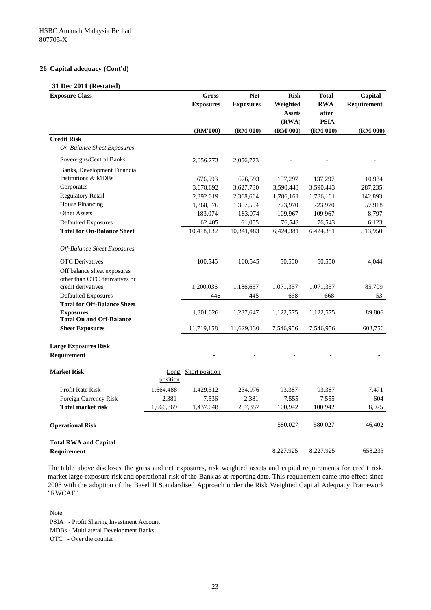#### **26 Capital adequacy (Cont'd)**

#### **31 Dec 2011 (Restated)**

| 01 Dec 2011 (Restated<br><b>Exposure Class</b>            |           | <b>Gross</b>        | <b>Net</b>       | <b>Risk</b>   | <b>Total</b>            | Capital     |
|-----------------------------------------------------------|-----------|---------------------|------------------|---------------|-------------------------|-------------|
|                                                           |           | <b>Exposures</b>    | <b>Exposures</b> | Weighted      | <b>RWA</b>              | Requirement |
|                                                           |           |                     |                  | <b>Assets</b> | after                   |             |
|                                                           |           | (RM'000)            |                  | (RWA)         | <b>PSIA</b><br>(RM'000) | (RM'000)    |
| <b>Credit Risk</b>                                        |           |                     | (RM'000)         | (RM'000)      |                         |             |
| <b>On-Balance Sheet Exposures</b>                         |           |                     |                  |               |                         |             |
| Sovereigns/Central Banks                                  |           | 2,056,773           | 2,056,773        |               |                         |             |
| Banks, Development Financial                              |           |                     |                  |               |                         |             |
| <b>Institutions &amp; MDBs</b>                            |           | 676,593             | 676,593          | 137,297       | 137,297                 | 10,984      |
| Corporates                                                |           | 3,678,692           | 3,627,730        | 3,590,443     | 3,590,443               | 287,235     |
| <b>Regulatory Retail</b>                                  |           | 2,392,019           | 2,368,664        | 1,786,161     | 1,786,161               | 142,893     |
| House Financing                                           |           | 1,368,576           | 1,367,594        | 723,970       | 723,970                 | 57,918      |
| Other Assets                                              |           | 183,074             | 183,074          | 109,967       | 109,967                 | 8,797       |
| <b>Defaulted Exposures</b>                                |           | 62,405              | 61,055           | 76,543        | 76,543                  | 6,123       |
| <b>Total for On-Balance Sheet</b>                         |           | 10,418,132          | 10,341,483       | 6,424,381     | 6,424,381               | 513,950     |
| Off-Balance Sheet Exposures                               |           |                     |                  |               |                         |             |
| <b>OTC</b> Derivatives                                    |           | 100,545             | 100,545          | 50,550        | 50,550                  | 4,044       |
| Off balance sheet exposures                               |           |                     |                  |               |                         |             |
| other than OTC derivatives or                             |           |                     |                  |               |                         |             |
| credit derivatives                                        |           | 1,200,036           | 1,186,657        | 1,071,357     | 1,071,357               | 85,709      |
| <b>Defaulted Exposures</b>                                |           | 445                 | 445              | 668           | 668                     | 53          |
| <b>Total for Off-Balance Sheet</b>                        |           |                     |                  |               |                         |             |
| <b>Exposures</b>                                          |           | 1,301,026           | 1,287,647        | 1,122,575     | 1,122,575               | 89,806      |
| <b>Total On and Off-Balance</b><br><b>Sheet Exposures</b> |           | 11,719,158          | 11,629,130       | 7,546,956     | 7,546,956               | 603,756     |
|                                                           |           |                     |                  |               |                         |             |
| <b>Large Exposures Risk</b>                               |           |                     |                  |               |                         |             |
| Requirement                                               |           |                     |                  |               |                         |             |
| <b>Market Risk</b>                                        |           | Long Short position |                  |               |                         |             |
|                                                           | position  |                     |                  |               |                         |             |
| Profit Rate Risk                                          | 1,664,488 | 1,429,512           | 234,976          | 93,387        | 93,387                  | 7,471       |
| Foreign Currency Risk                                     | 2,381     | 7,536               | 2,381            | 7,555         | 7,555                   | 604         |
| <b>Total market risk</b>                                  | 1,666,869 | 1,437,048           | 237,357          | 100,942       | 100,942                 | 8,075       |
| <b>Operational Risk</b>                                   |           |                     |                  | 580,027       | 580,027                 | 46,402      |
| <b>Total RWA and Capital</b>                              |           |                     |                  |               |                         |             |
| Requirement                                               |           |                     |                  | 8,227,925     | 8,227,925               | 658,233     |

The table above discloses the gross and net exposures, risk weighted assets and capital requirements for credit risk, market large exposure risk and operational risk of the Bank as at reporting date. This requirement came into effect since 2008 with the adoption of the Basel II Standardised Approach under the Risk Weighted Capital Adequacy Framework "RWCAF".

Note: PSIA - Profit Sharing Investment Account

MDBs - Multilateral Development Banks

OTC - Over the counter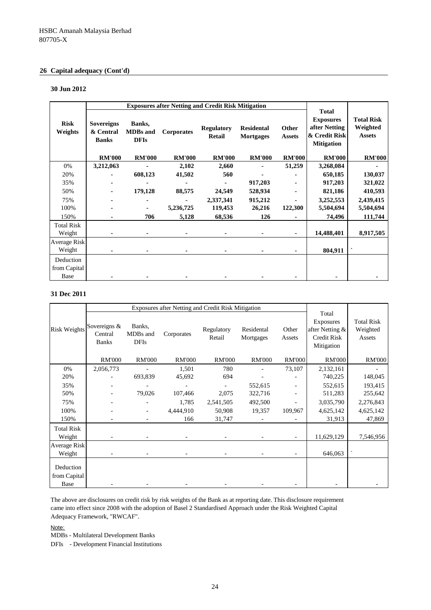# **26 Capital adequacy (Cont'd)**

#### **30 Jun 2012**

|                             |                                                |                                          | <b>Exposures after Netting and Credit Risk Mitigation</b> |                                    |                                       |                        |                                                                                         |                                                |
|-----------------------------|------------------------------------------------|------------------------------------------|-----------------------------------------------------------|------------------------------------|---------------------------------------|------------------------|-----------------------------------------------------------------------------------------|------------------------------------------------|
| <b>Risk</b><br>Weights      | <b>Sovereigns</b><br>& Central<br><b>Banks</b> | Banks,<br><b>MDBs</b> and<br><b>DFIs</b> | <b>Corporates</b>                                         | <b>Regulatory</b><br><b>Retail</b> | <b>Residental</b><br><b>Mortgages</b> | Other<br><b>Assets</b> | <b>Total</b><br><b>Exposures</b><br>after Netting<br>& Credit Risk<br><b>Mitigation</b> | <b>Total Risk</b><br>Weighted<br><b>Assets</b> |
|                             | <b>RM'000</b>                                  | <b>RM'000</b>                            | <b>RM'000</b>                                             | <b>RM'000</b>                      | <b>RM'000</b>                         | <b>RM'000</b>          | <b>RM'000</b>                                                                           | <b>RM'000</b>                                  |
| 0%                          | 3,212,063                                      |                                          | 2,102                                                     | 2,660                              |                                       | 51,259                 | 3,268,084                                                                               |                                                |
| 20%                         |                                                | 608,123                                  | 41,502                                                    | 560                                |                                       |                        | 650,185                                                                                 | 130,037                                        |
| 35%                         |                                                |                                          |                                                           |                                    | 917,203                               |                        | 917,203                                                                                 | 321,022                                        |
| 50%                         |                                                | 179,128                                  | 88,575                                                    | 24,549                             | 528,934                               |                        | 821,186                                                                                 | 410,593                                        |
| 75%                         |                                                |                                          |                                                           | 2,337,341                          | 915,212                               |                        | 3,252,553                                                                               | 2,439,415                                      |
| 100%                        |                                                |                                          | 5,236,725                                                 | 119,453                            | 26,216                                | 122,300                | 5,504,694                                                                               | 5,504,694                                      |
| 150%                        |                                                | 706                                      | 5,128                                                     | 68,536                             | 126                                   |                        | 74,496                                                                                  | 111,744                                        |
| <b>Total Risk</b><br>Weight |                                                |                                          |                                                           |                                    |                                       | ٠                      | 14,488,401                                                                              | 8,917,505                                      |
| Average Risk                |                                                |                                          |                                                           |                                    |                                       |                        |                                                                                         |                                                |
| Weight                      |                                                |                                          |                                                           |                                    |                                       |                        | 804,911                                                                                 |                                                |
| Deduction<br>from Capital   |                                                |                                          |                                                           |                                    |                                       |                        |                                                                                         |                                                |
| Base                        |                                                |                                          |                                                           |                                    |                                       |                        |                                                                                         |                                                |

# **31 Dec 2011**

|                                   |                                           |                                   | Exposures after Netting and Credit Risk Mitigation |                      |                         |                 |                                                                           |                                         |
|-----------------------------------|-------------------------------------------|-----------------------------------|----------------------------------------------------|----------------------|-------------------------|-----------------|---------------------------------------------------------------------------|-----------------------------------------|
| <b>Risk Weights</b>               | Sovereigns $&$<br>Central<br><b>Banks</b> | Banks,<br>MDBs and<br><b>DFIs</b> | Corporates                                         | Regulatory<br>Retail | Residental<br>Mortgages | Other<br>Assets | Total<br><b>Exposures</b><br>after Netting &<br>Credit Risk<br>Mitigation | <b>Total Risk</b><br>Weighted<br>Assets |
|                                   | <b>RM'000</b>                             | <b>RM'000</b>                     | <b>RM'000</b>                                      | <b>RM'000</b>        | <b>RM'000</b>           | <b>RM'000</b>   | <b>RM'000</b>                                                             | <b>RM'000</b>                           |
| 0%                                | 2,056,773                                 |                                   | 1,501                                              | 780                  |                         | 73,107          | 2,132,161                                                                 |                                         |
| 20%                               |                                           | 693,839                           | 45,692                                             | 694                  |                         |                 | 740,225                                                                   | 148,045                                 |
| 35%                               |                                           |                                   |                                                    |                      | 552,615                 |                 | 552,615                                                                   | 193,415                                 |
| 50%                               |                                           | 79,026                            | 107,466                                            | 2,075                | 322,716                 |                 | 511,283                                                                   | 255,642                                 |
| 75%                               |                                           |                                   | 1,785                                              | 2,541,505            | 492,500                 |                 | 3,035,790                                                                 | 2,276,843                               |
| 100%                              |                                           |                                   | 4,444,910                                          | 50,908               | 19,357                  | 109,967         | 4,625,142                                                                 | 4,625,142                               |
| 150%                              |                                           |                                   | 166                                                | 31,747               |                         |                 | 31,913                                                                    | 47,869                                  |
| <b>Total Risk</b><br>Weight       |                                           |                                   |                                                    |                      |                         |                 | 11,629,129                                                                | 7,546,956                               |
| Average Risk<br>Weight            |                                           |                                   |                                                    |                      |                         |                 | 646,063                                                                   |                                         |
| Deduction<br>from Capital<br>Base |                                           |                                   |                                                    |                      |                         |                 |                                                                           |                                         |

The above are disclosures on credit risk by risk weights of the Bank as at reporting date. This disclosure requirement came into effect since 2008 with the adoption of Basel 2 Standardised Approach under the Risk Weighted Capital Adequacy Framework, "RWCAF".

Note:

MDBs - Multilateral Development Banks

DFIs - Development Financial Institutions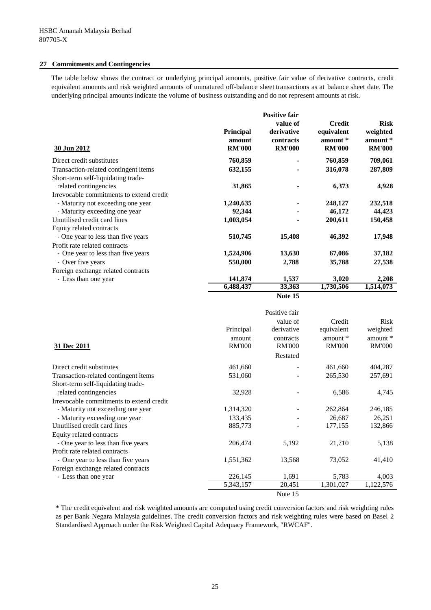#### **27 Commitments and Contingencies**

The table below shows the contract or underlying principal amounts, positive fair value of derivative contracts, credit equivalent amounts and risk weighted amounts of unmatured off-balance sheet transactions as at balance sheet date. The underlying principal amounts indicate the volume of business outstanding and do not represent amounts at risk.

|                                          |                                             | <b>Positive fair</b>                                 |                                                          |                                                      |
|------------------------------------------|---------------------------------------------|------------------------------------------------------|----------------------------------------------------------|------------------------------------------------------|
| 30 Jun 2012                              | <b>Principal</b><br>amount<br><b>RM'000</b> | value of<br>derivative<br>contracts<br><b>RM'000</b> | <b>Credit</b><br>equivalent<br>amount *<br><b>RM'000</b> | <b>Risk</b><br>weighted<br>amount *<br><b>RM'000</b> |
| Direct credit substitutes                | 760,859                                     |                                                      | 760,859                                                  | 709,061                                              |
| Transaction-related contingent items     | 632,155                                     |                                                      | 316,078                                                  | 287,809                                              |
| Short-term self-liquidating trade-       |                                             |                                                      |                                                          |                                                      |
| related contingencies                    | 31,865                                      |                                                      | 6,373                                                    | 4,928                                                |
| Irrevocable commitments to extend credit |                                             |                                                      |                                                          |                                                      |
| - Maturity not exceeding one year        | 1,240,635                                   |                                                      | 248,127                                                  | 232,518                                              |
| - Maturity exceeding one year            | 92,344                                      |                                                      | 46,172                                                   | 44,423                                               |
| Unutilised credit card lines             | 1,003,054                                   |                                                      | 200,611                                                  | 150,458                                              |
| Equity related contracts                 |                                             |                                                      |                                                          |                                                      |
| - One year to less than five years       | 510,745                                     | 15,408                                               | 46,392                                                   | 17,948                                               |
| Profit rate related contracts            |                                             |                                                      |                                                          |                                                      |
| - One year to less than five years       | 1,524,906                                   | 13,630                                               | 67,086                                                   | 37,182                                               |
| - Over five years                        | 550,000                                     | 2,788                                                | 35,788                                                   | 27,538                                               |
| Foreign exchange related contracts       |                                             |                                                      |                                                          |                                                      |
| - Less than one year                     | 141,874                                     | 1,537                                                | 3,020                                                    | 2,208                                                |
|                                          | 6,488,437                                   | 33,363                                               | 1,730,506                                                | 1,514,073                                            |
|                                          |                                             |                                                      |                                                          |                                                      |



|                                          |                                      | Positive fair                                        |                                                     |                                                        |
|------------------------------------------|--------------------------------------|------------------------------------------------------|-----------------------------------------------------|--------------------------------------------------------|
| 31 Dec 2011                              | Principal<br>amount<br><b>RM'000</b> | value of<br>derivative<br>contracts<br><b>RM'000</b> | Credit<br>equivalent<br>amount $*$<br><b>RM'000</b> | <b>Risk</b><br>weighted<br>amount $*$<br><b>RM'000</b> |
|                                          |                                      | Restated                                             |                                                     |                                                        |
| Direct credit substitutes                | 461,660                              |                                                      | 461,660                                             | 404,287                                                |
| Transaction-related contingent items     | 531,060                              |                                                      | 265,530                                             | 257,691                                                |
| Short-term self-liquidating trade-       |                                      |                                                      |                                                     |                                                        |
| related contingencies                    | 32,928                               |                                                      | 6,586                                               | 4,745                                                  |
| Irrevocable commitments to extend credit |                                      |                                                      |                                                     |                                                        |
| - Maturity not exceeding one year        | 1,314,320                            |                                                      | 262,864                                             | 246,185                                                |
| - Maturity exceeding one year            | 133,435                              |                                                      | 26,687                                              | 26,251                                                 |
| Unutilised credit card lines             | 885,773                              |                                                      | 177,155                                             | 132,866                                                |
| Equity related contracts                 |                                      |                                                      |                                                     |                                                        |
| - One year to less than five years       | 206,474                              | 5,192                                                | 21,710                                              | 5,138                                                  |
| Profit rate related contracts            |                                      |                                                      |                                                     |                                                        |
| - One year to less than five years       | 1,551,362                            | 13,568                                               | 73,052                                              | 41,410                                                 |
| Foreign exchange related contracts       |                                      |                                                      |                                                     |                                                        |
| - Less than one year                     | 226,145                              | 1,691                                                | 5,783                                               | 4,003                                                  |
|                                          | 5,343,157                            | 20,451                                               | 1,301,027                                           | 1,122,576                                              |
|                                          |                                      | Note 15                                              |                                                     |                                                        |

\* The credit equivalent and risk weighted amounts are computed using credit conversion factors and risk weighting rules as per Bank Negara Malaysia guidelines. The credit conversion factors and risk weighting rules were based on Basel 2 Standardised Approach under the Risk Weighted Capital Adequacy Framework, "RWCAF".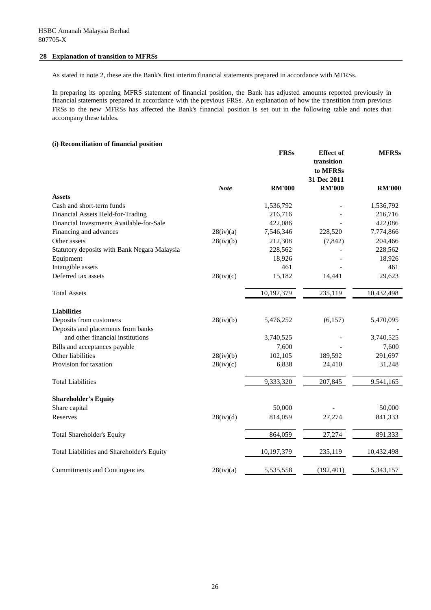#### **28 Explanation of transition to MFRSs**

As stated in note 2, these are the Bank's first interim financial statements prepared in accordance with MFRSs.

In preparing its opening MFRS statement of financial position, the Bank has adjusted amounts reported previously in financial statements prepared in accordance with the previous FRSs. An explanation of how the transtition from previous FRSs to the new MFRSs has affected the Bank's financial position is set out in the following table and notes that accompany these tables.

#### **(i) Reconciliation of financial position**

|                                              |             | <b>FRSs</b>   | <b>Effect</b> of<br>transition<br>to MFRSs<br>31 Dec 2011 | <b>MFRSs</b>  |
|----------------------------------------------|-------------|---------------|-----------------------------------------------------------|---------------|
|                                              | <b>Note</b> | <b>RM'000</b> | <b>RM'000</b>                                             | <b>RM'000</b> |
| Assets                                       |             |               |                                                           |               |
| Cash and short-term funds                    |             | 1,536,792     |                                                           | 1,536,792     |
| Financial Assets Held-for-Trading            |             | 216,716       |                                                           | 216,716       |
| Financial Investments Available-for-Sale     |             | 422,086       |                                                           | 422,086       |
| Financing and advances                       | 28(iv)(a)   | 7,546,346     | 228,520                                                   | 7,774,866     |
| Other assets                                 | 28(iv)(b)   | 212,308       | (7, 842)                                                  | 204,466       |
| Statutory deposits with Bank Negara Malaysia |             | 228,562       |                                                           | 228,562       |
| Equipment                                    |             | 18,926        |                                                           | 18,926        |
| Intangible assets                            |             | 461           |                                                           | 461           |
| Deferred tax assets                          | 28(iv)(c)   | 15,182        | 14,441                                                    | 29,623        |
| <b>Total Assets</b>                          |             | 10,197,379    | 235,119                                                   | 10,432,498    |
| <b>Liabilities</b>                           |             |               |                                                           |               |
| Deposits from customers                      | 28(iv)(b)   | 5,476,252     | (6, 157)                                                  | 5,470,095     |
| Deposits and placements from banks           |             |               |                                                           |               |
| and other financial institutions             |             | 3,740,525     |                                                           | 3,740,525     |
| Bills and acceptances payable                |             | 7,600         |                                                           | 7,600         |
| Other liabilities                            | 28(iv)(b)   | 102,105       | 189,592                                                   | 291,697       |
| Provision for taxation                       | 28(iv)(c)   | 6,838         | 24,410                                                    | 31,248        |
| <b>Total Liabilities</b>                     |             | 9,333,320     | 207,845                                                   | 9,541,165     |
| <b>Shareholder's Equity</b>                  |             |               |                                                           |               |
| Share capital                                |             | 50,000        |                                                           | 50,000        |
| Reserves                                     | 28(iv)(d)   | 814,059       | 27,274                                                    | 841,333       |
| <b>Total Shareholder's Equity</b>            |             | 864,059       | 27,274                                                    | 891,333       |
| Total Liabilities and Shareholder's Equity   |             | 10,197,379    | 235,119                                                   | 10,432,498    |
| Commitments and Contingencies                | 28(iv)(a)   | 5,535,558     | (192, 401)                                                | 5,343,157     |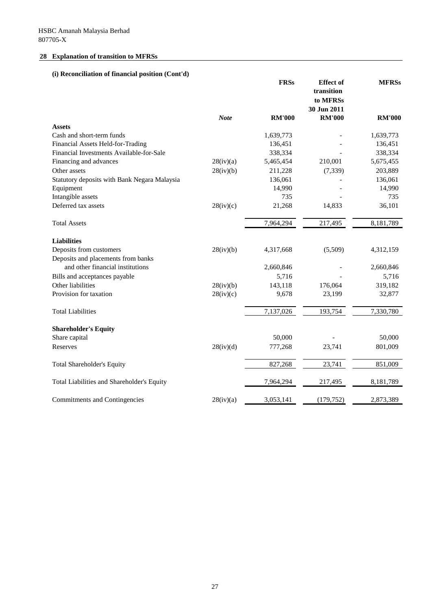# **28 Explanation of transition to MFRSs**

# **(i) Reconciliation of financial position (Cont'd)**

|                                              |             | <b>FRSs</b>   | <b>Effect</b> of<br>transition<br>to MFRSs<br>30 Jun 2011 | <b>MFRSs</b>  |
|----------------------------------------------|-------------|---------------|-----------------------------------------------------------|---------------|
|                                              | <b>Note</b> | <b>RM'000</b> | <b>RM'000</b>                                             | <b>RM'000</b> |
| <b>Assets</b>                                |             |               |                                                           |               |
| Cash and short-term funds                    |             | 1,639,773     |                                                           | 1,639,773     |
| Financial Assets Held-for-Trading            |             | 136,451       |                                                           | 136,451       |
| Financial Investments Available-for-Sale     |             | 338,334       |                                                           | 338,334       |
| Financing and advances                       | 28(iv)(a)   | 5,465,454     | 210,001                                                   | 5,675,455     |
| Other assets                                 | 28(iv)(b)   | 211,228       | (7, 339)                                                  | 203,889       |
| Statutory deposits with Bank Negara Malaysia |             | 136,061       |                                                           | 136,061       |
| Equipment                                    |             | 14,990        |                                                           | 14,990        |
| Intangible assets                            |             | 735           |                                                           | 735           |
| Deferred tax assets                          | 28(iv)(c)   | 21,268        | 14,833                                                    | 36,101        |
| <b>Total Assets</b>                          |             | 7,964,294     | 217,495                                                   | 8,181,789     |
| <b>Liabilities</b>                           |             |               |                                                           |               |
| Deposits from customers                      | 28(iv)(b)   | 4,317,668     | (5,509)                                                   | 4,312,159     |
| Deposits and placements from banks           |             |               |                                                           |               |
| and other financial institutions             |             | 2,660,846     |                                                           | 2,660,846     |
| Bills and acceptances payable                |             | 5,716         |                                                           | 5,716         |
| Other liabilities                            | 28(iv)(b)   | 143,118       | 176,064                                                   | 319,182       |
| Provision for taxation                       | 28(iv)(c)   | 9,678         | 23,199                                                    | 32,877        |
| <b>Total Liabilities</b>                     |             | 7,137,026     | 193,754                                                   | 7,330,780     |
| <b>Shareholder's Equity</b>                  |             |               |                                                           |               |
| Share capital                                |             | 50,000        |                                                           | 50,000        |
| Reserves                                     | 28(iv)(d)   | 777,268       | 23,741                                                    | 801,009       |
| <b>Total Shareholder's Equity</b>            |             | 827,268       | 23,741                                                    | 851,009       |
| Total Liabilities and Shareholder's Equity   |             | 7,964,294     | 217,495                                                   | 8,181,789     |
| Commitments and Contingencies                | 28(iv)(a)   | 3,053,141     | (179, 752)                                                | 2,873,389     |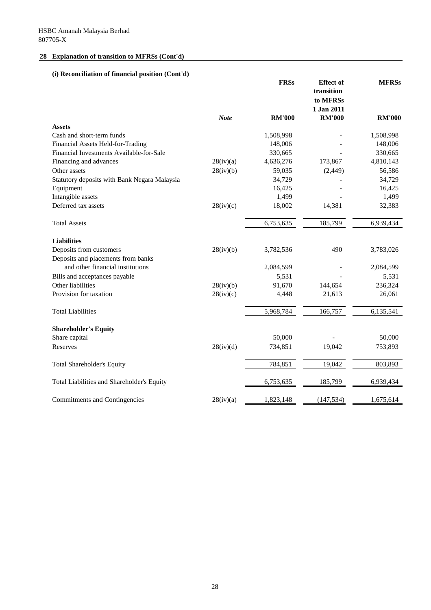# **(i) Reconciliation of financial position (Cont'd)**

|                                              |             | <b>FRSs</b>   | <b>Effect</b> of<br>transition<br>to MFRSs<br>1 Jan 2011 | <b>MFRSs</b>  |
|----------------------------------------------|-------------|---------------|----------------------------------------------------------|---------------|
|                                              | <b>Note</b> | <b>RM'000</b> | <b>RM'000</b>                                            | <b>RM'000</b> |
| <b>Assets</b>                                |             |               |                                                          |               |
| Cash and short-term funds                    |             | 1,508,998     |                                                          | 1,508,998     |
| Financial Assets Held-for-Trading            |             | 148,006       |                                                          | 148,006       |
| Financial Investments Available-for-Sale     |             | 330,665       |                                                          | 330,665       |
| Financing and advances                       | 28(iv)(a)   | 4,636,276     | 173,867                                                  | 4,810,143     |
| Other assets                                 | 28(iv)(b)   | 59,035        | (2, 449)                                                 | 56,586        |
| Statutory deposits with Bank Negara Malaysia |             | 34,729        |                                                          | 34,729        |
| Equipment                                    |             | 16,425        |                                                          | 16,425        |
| Intangible assets                            |             | 1,499         |                                                          | 1,499         |
| Deferred tax assets                          | 28(iv)(c)   | 18,002        | 14,381                                                   | 32,383        |
| <b>Total Assets</b>                          |             | 6,753,635     | 185,799                                                  | 6,939,434     |
| <b>Liabilities</b>                           |             |               |                                                          |               |
| Deposits from customers                      | 28(iv)(b)   | 3,782,536     | 490                                                      | 3,783,026     |
| Deposits and placements from banks           |             |               |                                                          |               |
| and other financial institutions             |             | 2,084,599     |                                                          | 2,084,599     |
| Bills and acceptances payable                |             | 5,531         |                                                          | 5,531         |
| Other liabilities                            | 28(iv)(b)   | 91,670        | 144,654                                                  | 236,324       |
| Provision for taxation                       | 28(iv)(c)   | 4,448         | 21,613                                                   | 26,061        |
| <b>Total Liabilities</b>                     |             | 5,968,784     | 166,757                                                  | 6,135,541     |
| <b>Shareholder's Equity</b>                  |             |               |                                                          |               |
| Share capital                                |             | 50,000        |                                                          | 50,000        |
| Reserves                                     | 28(iv)(d)   | 734,851       | 19,042                                                   | 753,893       |
| <b>Total Shareholder's Equity</b>            |             | 784,851       | 19,042                                                   | 803,893       |
| Total Liabilities and Shareholder's Equity   |             | 6,753,635     | 185,799                                                  | 6,939,434     |
| Commitments and Contingencies                | 28(iv)(a)   | 1,823,148     | (147, 534)                                               | 1,675,614     |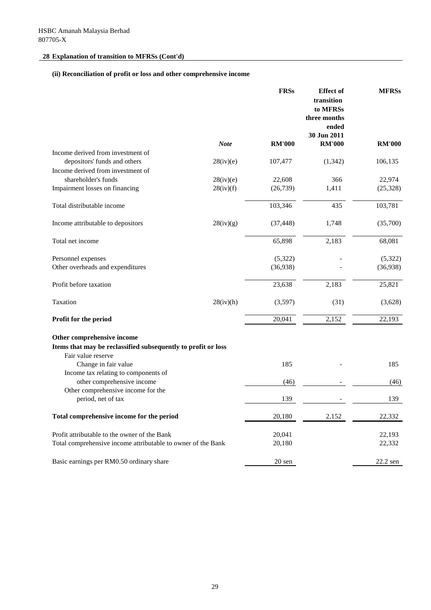# **(ii) Reconciliation of profit or loss and other comprehensive income**

|                                                               |             | <b>FRSs</b>      | <b>Effect</b> of<br>transition<br>to MFRSs<br>three months<br>ended<br>30 Jun 2011 | <b>MFRSs</b>     |
|---------------------------------------------------------------|-------------|------------------|------------------------------------------------------------------------------------|------------------|
|                                                               | <b>Note</b> | <b>RM'000</b>    | <b>RM'000</b>                                                                      | <b>RM'000</b>    |
| Income derived from investment of                             |             |                  |                                                                                    |                  |
| depositors' funds and others                                  | 28(iv)(e)   | 107,477          | (1, 342)                                                                           | 106,135          |
| Income derived from investment of                             |             |                  |                                                                                    |                  |
| shareholder's funds                                           | 28(iv)(e)   | 22,608           | 366                                                                                | 22,974           |
| Impairment losses on financing                                | 28(iv)(f)   | (26, 739)        | 1,411                                                                              | (25, 328)        |
| Total distributable income                                    |             | 103,346          | 435                                                                                | 103,781          |
| Income attributable to depositors                             | 28(iv)(g)   | (37, 448)        | 1,748                                                                              | (35,700)         |
| Total net income                                              |             | 65,898           | 2,183                                                                              | 68,081           |
| Personnel expenses                                            |             | (5,322)          |                                                                                    | (5,322)          |
| Other overheads and expenditures                              |             | (36,938)         |                                                                                    | (36,938)         |
| Profit before taxation                                        |             | 23,638           | 2,183                                                                              | 25,821           |
| Taxation                                                      | 28(iv)(h)   | (3,597)          | (31)                                                                               | (3,628)          |
| Profit for the period                                         |             | 20,041           | 2,152                                                                              | 22,193           |
| Other comprehensive income                                    |             |                  |                                                                                    |                  |
| Items that may be reclassified subsequently to profit or loss |             |                  |                                                                                    |                  |
| Fair value reserve                                            |             |                  |                                                                                    |                  |
| Change in fair value<br>Income tax relating to components of  |             | 185              |                                                                                    | 185              |
| other comprehensive income                                    |             | (46)             |                                                                                    | (46)             |
| Other comprehensive income for the                            |             |                  |                                                                                    |                  |
| period, net of tax                                            |             | 139              |                                                                                    | 139              |
| Total comprehensive income for the period                     |             | 20,180           | 2,152                                                                              | 22,332           |
| Profit attributable to the owner of the Bank                  |             |                  |                                                                                    |                  |
| Total comprehensive income attributable to owner of the Bank  |             | 20,041<br>20,180 |                                                                                    | 22,193<br>22,332 |
|                                                               |             |                  |                                                                                    |                  |
| Basic earnings per RM0.50 ordinary share                      |             | 20 sen           |                                                                                    | 22.2 sen         |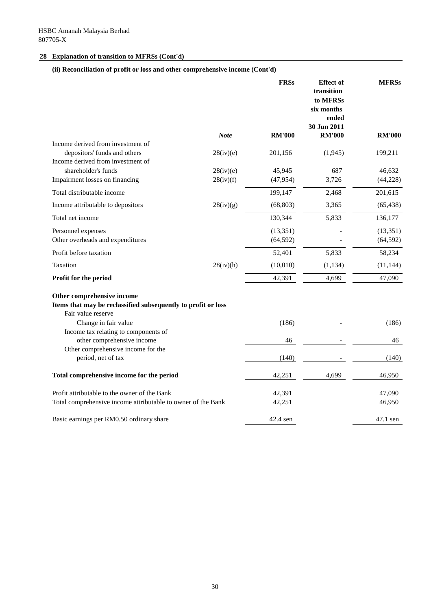# **(ii) Reconciliation of profit or loss and other comprehensive income (Cont'd)**

|                                                                                                                   |             | <b>FRSs</b>            | <b>Effect</b> of<br>transition<br>to MFRSs<br>six months<br>ended<br>30 Jun 2011 | <b>MFRSs</b>          |
|-------------------------------------------------------------------------------------------------------------------|-------------|------------------------|----------------------------------------------------------------------------------|-----------------------|
|                                                                                                                   | <b>Note</b> | <b>RM'000</b>          | <b>RM'000</b>                                                                    | <b>RM'000</b>         |
| Income derived from investment of<br>depositors' funds and others<br>Income derived from investment of            | 28(iv)(e)   | 201,156                | (1, 945)                                                                         | 199,211               |
| shareholder's funds                                                                                               | 28(iv)(e)   | 45,945                 | 687                                                                              | 46,632                |
| Impairment losses on financing                                                                                    | 28(iv)(f)   | (47, 954)              | 3,726                                                                            | (44, 228)             |
| Total distributable income                                                                                        |             | 199,147                | 2,468                                                                            | 201,615               |
| Income attributable to depositors                                                                                 | 28(iv)(g)   | (68, 803)              | 3,365                                                                            | (65, 438)             |
| Total net income                                                                                                  |             | 130,344                | 5,833                                                                            | 136,177               |
| Personnel expenses<br>Other overheads and expenditures                                                            |             | (13, 351)<br>(64, 592) |                                                                                  | (13,351)<br>(64, 592) |
| Profit before taxation                                                                                            |             | 52,401                 | 5,833                                                                            | 58,234                |
| Taxation                                                                                                          | 28(iv)(h)   | (10,010)               | (1, 134)                                                                         | (11, 144)             |
| Profit for the period                                                                                             |             | 42,391                 | 4,699                                                                            | 47,090                |
| Other comprehensive income<br>Items that may be reclassified subsequently to profit or loss<br>Fair value reserve |             |                        |                                                                                  |                       |
| Change in fair value<br>Income tax relating to components of                                                      |             | (186)                  |                                                                                  | (186)                 |
| other comprehensive income                                                                                        |             | 46                     |                                                                                  | 46                    |
| Other comprehensive income for the<br>period, net of tax                                                          |             | (140)                  |                                                                                  | (140)                 |
| Total comprehensive income for the period                                                                         |             | 42,251                 | 4,699                                                                            | 46,950                |
| Profit attributable to the owner of the Bank                                                                      |             | 42,391                 |                                                                                  | 47,090                |
| Total comprehensive income attributable to owner of the Bank                                                      |             | 42,251                 |                                                                                  | 46,950                |
| Basic earnings per RM0.50 ordinary share                                                                          |             | 42.4 sen               |                                                                                  | 47.1 sen              |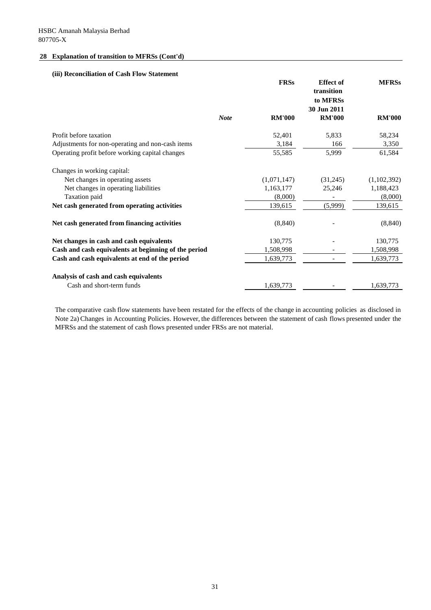#### **(iii) Reconciliation of Cash Flow Statement**

|                                                      |             | <b>FRSs</b>   | <b>Effect of</b><br>transition<br>to MFRSs<br>30 Jun 2011 | <b>MFRSs</b>  |
|------------------------------------------------------|-------------|---------------|-----------------------------------------------------------|---------------|
|                                                      | <b>Note</b> | <b>RM'000</b> | <b>RM'000</b>                                             | <b>RM'000</b> |
| Profit before taxation                               |             | 52,401        | 5,833                                                     | 58,234        |
| Adjustments for non-operating and non-cash items     |             | 3,184         | 166                                                       | 3,350         |
| Operating profit before working capital changes      |             | 55,585        | 5,999                                                     | 61,584        |
| Changes in working capital:                          |             |               |                                                           |               |
| Net changes in operating assets                      |             | (1,071,147)   | (31,245)                                                  | (1,102,392)   |
| Net changes in operating liabilities                 |             | 1,163,177     | 25,246                                                    | 1,188,423     |
| Taxation paid                                        |             | (8,000)       |                                                           | (8,000)       |
| Net cash generated from operating activities         |             | 139,615       | (5,999)                                                   | 139,615       |
| Net cash generated from financing activities         |             | (8, 840)      |                                                           | (8, 840)      |
| Net changes in cash and cash equivalents             |             | 130,775       |                                                           | 130,775       |
| Cash and cash equivalents at beginning of the period |             | 1,508,998     |                                                           | 1,508,998     |
| Cash and cash equivalents at end of the period       |             | 1,639,773     |                                                           | 1,639,773     |
| Analysis of cash and cash equivalents                |             |               |                                                           |               |
| Cash and short-term funds                            |             | 1,639,773     |                                                           | 1,639,773     |

The comparative cash flow statements have been restated for the effects of the change in accounting policies as disclosed in Note 2a) Changes in Accounting Policies. However, the differences between the statement of cash flows presented under the MFRSs and the statement of cash flows presented under FRSs are not material.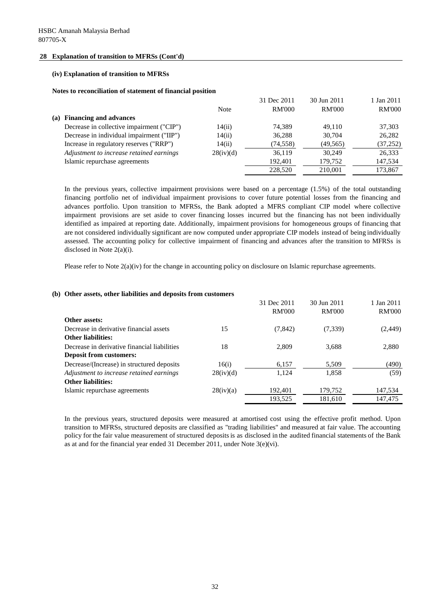#### **(iv) Explanation of transition to MFRSs**

**Notes to reconciliation of statement of financial position**

|                                           |             | 31 Dec 2011   | 30 Jun 2011 | 1 Jan 2011    |
|-------------------------------------------|-------------|---------------|-------------|---------------|
|                                           | <b>Note</b> | <b>RM'000</b> | RM'000      | <b>RM'000</b> |
| (a) Financing and advances                |             |               |             |               |
| Decrease in collective impairment ("CIP") | 14(ii)      | 74.389        | 49.110      | 37,303        |
| Decrease in individual impairment ("IIP") | 14(ii)      | 36,288        | 30,704      | 26,282        |
| Increase in regulatory reserves ("RRP")   | 14(ii)      | (74, 558)     | (49, 565)   | (37,252)      |
| Adjustment to increase retained earnings  | 28(iv)(d)   | 36,119        | 30.249      | 26,333        |
| Islamic repurchase agreements             |             | 192,401       | 179,752     | 147,534       |
|                                           |             | 228,520       | 210,001     | 173,867       |

In the previous years, collective impairment provisions were based on a percentage  $(1.5%)$  of the total outstanding financing portfolio net of individual impairment provisions to cover future potential losses from the financing and advances portfolio. Upon transition to MFRSs, the Bank adopted a MFRS compliant CIP model where collective impairment provisions are set aside to cover financing losses incurred but the financing has not been individually identified as impaired at reporting date. Additionally, impairment provisions for homogeneous groups of financing that are not considered individually significant are now computed under appropriate CIP models instead of being individually assessed. The accounting policy for collective impairment of financing and advances after the transition to MFRSs is disclosed in Note 2(a)(i).

Please refer to Note  $2(a)(iv)$  for the change in accounting policy on disclosure on Islamic repurchase agreements.

#### **(b) Other assets, other liabilities and deposits from customers**

|                                              |           | 31 Dec 2011   | 30 Jun 2011   | 1 Jan 2011    |
|----------------------------------------------|-----------|---------------|---------------|---------------|
|                                              |           | <b>RM'000</b> | <b>RM'000</b> | <b>RM'000</b> |
| Other assets:                                |           |               |               |               |
| Decrease in derivative financial assets      | 15        | (7, 842)      | (7,339)       | (2, 449)      |
| <b>Other liabilities:</b>                    |           |               |               |               |
| Decrease in derivative financial liabilities | 18        | 2.809         | 3.688         | 2,880         |
| <b>Deposit from customers:</b>               |           |               |               |               |
| Decrease/(Increase) in structured deposits   | 16(i)     | 6.157         | 5.509         | (490)         |
| Adjustment to increase retained earnings     | 28(iv)(d) | 1,124         | 1,858         | (59)          |
| <b>Other liabilities:</b>                    |           |               |               |               |
| Islamic repurchase agreements                | 28(iv)(a) | 192,401       | 179,752       | 147,534       |
|                                              |           | 193,525       | 181,610       | 147,475       |

In the previous years, structured deposits were measured at amortised cost using the effective profit method. Upon transition to MFRSs, structured deposits are classified as "trading liabilities" and measured at fair value. The accounting policy for the fair value measurement of structured depositsis as disclosed in the audited financial statements of the Bank as at and for the financial year ended 31 December 2011, under Note 3(e)(vi).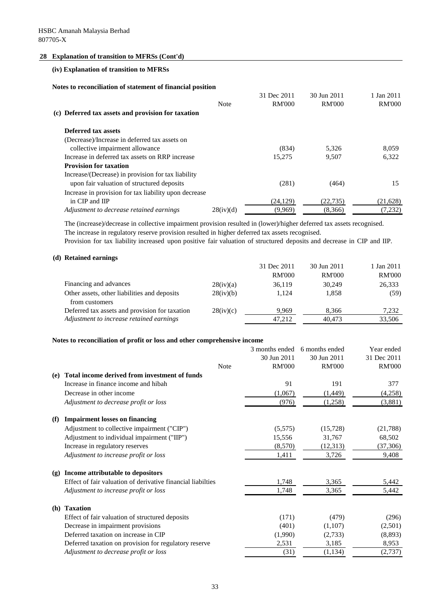#### **(iv) Explanation of transition to MFRSs**

**Notes to reconciliation of statement of financial position**

| 30 Jun 2011<br>1 Jan 2011      |
|--------------------------------|
| <b>RM'000</b><br><b>RM'000</b> |
|                                |
|                                |
|                                |
| 8.059<br>5.326                 |
| 6,322<br>9.507                 |
|                                |
|                                |
| 15<br>(464)                    |
|                                |
| (22.735)<br>(21,628)           |
| (7,232)<br>(8,366)             |
|                                |

The (increase)/decrease in collective impairment provision resulted in (lower)/higher deferred tax assets recognised. The increase in regulatory reserve provision resulted in higher deferred tax assets recognised.

Provision for tax liability increased upon positive fair valuation of structured deposits and decrease in CIP and IIP.

#### **(d) Retained earnings**

|                                                |           | 31 Dec 2011   | 30 Jun 2011   | 1 Jan 2011    |
|------------------------------------------------|-----------|---------------|---------------|---------------|
|                                                |           | <b>RM'000</b> | <b>RM'000</b> | <b>RM'000</b> |
| Financing and advances                         | 28(iv)(a) | 36,119        | 30.249        | 26,333        |
| Other assets, other liabilities and deposits   | 28(iv)(b) | 1.124         | 1,858         | (59)          |
| from customers                                 |           |               |               |               |
| Deferred tax assets and provision for taxation | 28(iv)(c) | 9.969         | 8.366         | 7,232         |
| Adjustment to increase retained earnings       |           | 47.212        | 40.473        | 33,506        |

#### **Notes to reconciliation of profit or loss and other comprehensive income**

|                             |                                                             | 3 months ended | 6 months ended | Year ended    |
|-----------------------------|-------------------------------------------------------------|----------------|----------------|---------------|
|                             |                                                             | 30 Jun 2011    | 30 Jun 2011    | 31 Dec 2011   |
|                             | <b>Note</b>                                                 | <b>RM'000</b>  | <b>RM'000</b>  | <b>RM'000</b> |
| (e)                         | Total income derived from investment of funds               |                |                |               |
|                             | Increase in finance income and hibah                        | 91             | 191            | 377           |
|                             | Decrease in other income                                    | (1,067)        | (1,449)        | (4,258)       |
|                             | Adjustment to decrease profit or loss                       | (976)          | (1,258)        | (3,881)       |
| (f)                         | <b>Impairment losses on financing</b>                       |                |                |               |
|                             | Adjustment to collective impairment ("CIP")                 | (5,575)        | (15,728)       | (21, 788)     |
|                             | Adjustment to individual impairment ("IIP")                 | 15,556         | 31,767         | 68,502        |
|                             | Increase in regulatory reserves                             | (8,570)        | (12,313)       | (37,306)      |
|                             | Adjustment to increase profit or loss                       | 1,411          | 3,726          | 9,408         |
| $\left( \mathbf{g} \right)$ | Income attributable to depositors                           |                |                |               |
|                             | Effect of fair valuation of derivative financial liabilties | 1,748          | 3,365          | 5,442         |
|                             | Adjustment to increase profit or loss                       | 1,748          | 3,365          | 5,442         |
| (h)                         | <b>Taxation</b>                                             |                |                |               |
|                             | Effect of fair valuation of structured deposits             | (171)          | (479)          | (296)         |
|                             | Decrease in impairment provisions                           | (401)          | (1,107)        | (2,501)       |
|                             | Deferred taxation on increase in CIP                        | (1,990)        | (2,733)        | (8,893)       |
|                             | Deferred taxation on provision for regulatory reserve       | 2,531          | 3,185          | 8,953         |
|                             | Adjustment to decrease profit or loss                       | (31)           | (1,134)        | (2,737)       |